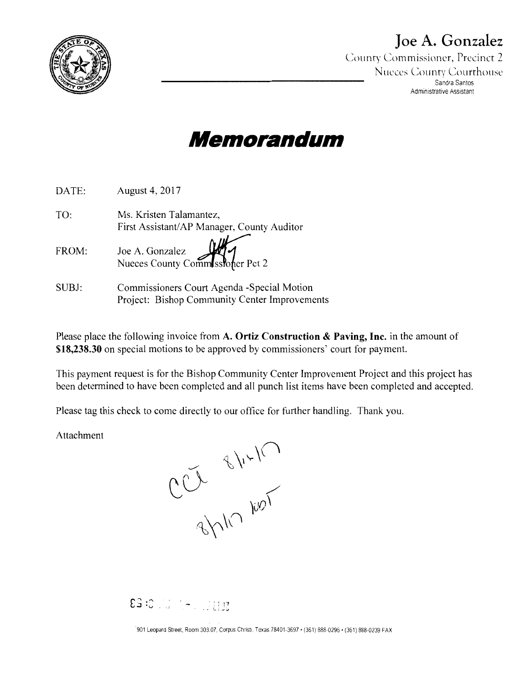

## **Joe A. Gonzalez**

County Commissioner, Precinct *2*  Nueces County Courthouse Sandra Santos Administrative Assistant



| DATE: | August 4, 2017                                                        |
|-------|-----------------------------------------------------------------------|
| TO:   | Ms. Kristen Talamantez,<br>First Assistant/AP Manager, County Auditor |
| FROM: | Joe A. Gonzalez<br>Nueces County Commissioner Pct 2                   |
| SUBJ: | Commissioners Court Agenda - Special Motion                           |

Please place the following invoice from **A. Ortiz Construction & Paving, Inc.** in the amount of **\$18,238.30** on special motions to be approved by commissioners' court for payment.

This payment request is for the Bishop Community Center Improvement Project and this project has been determined to have been completed and all punch list items have been completed and accepted.

Please tag this check to come directly to our office for further handling. Thank you.

Project: Bishop Community Center Improvements

Attachment

BYNO AN-10

£ ." ,0 ' . .J ·v. , - . \_ Li~Z

·901 Leopard Street, Room 30307. Corpus Christi. Texas 78401-3697 • (361) 8880296 • (361) 888-0239 FAX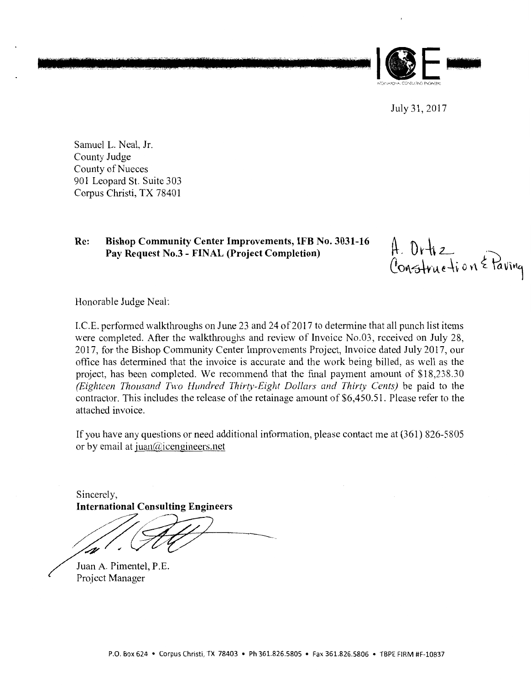

July31,2017

Samuel L. Neal, Jr. County Judge County of Nueces 901 Leopard St. Suite 303 Corpus Christi, TX 78401

### **Re: Bishop Community Center Improvements, IFB No. 3031-16 Pay Request No.3 - FINAL (Project Completion)**

A. Ortiz<br>Construction & Paving

Honorable Judge Neal:

I.C.E. performed walkthroughs on June 23 and 24 of 2017 to determine that all punch list items were completed. After the walkthroughs and review of Invoice No.03, received on July 28, 2017, for the Bishop Community Center Improvements Project, Invoice dated July 2017, our office has determined that the invoice is accurate and the work being billed, as well as the project, has been completed. We recommend that the final payment amount of \$18,238.30 *(Eighteen Thousand Two Hundred Thirty-Eight Dollars and Thirty Cents)* be paid to the contractor. This includes the release of the retainage amount of \$6,450.51. Please refer to the attached invoice.

If you have any questions or need additional information, please contact me at (361) 826-5805 or by email at juan $(\hat{\alpha})$ icengineers.net

Sincerely, **International Consulting Engineers** 

Juan A. Pimentel, P.E. Project Manager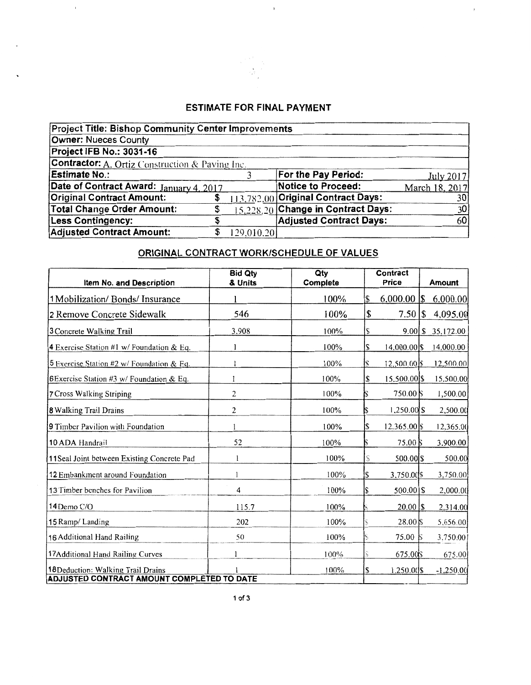## **ESTIMATE FOR FINAL PAYMENT**

 $\bar{1}$ 

 $\bar{t}$ 

 $\cdot$ 

| <b>Project Title: Bishop Community Center Improvements</b> |   |            |                                    |                |
|------------------------------------------------------------|---|------------|------------------------------------|----------------|
| Owner: Nueces County                                       |   |            |                                    |                |
| Project IFB No.: 3031-16                                   |   |            |                                    |                |
| <b>Contractor:</b> A. Ortiz Construction & Paving Inc.     |   |            |                                    |                |
| <b>Estimate No.:</b>                                       |   |            | For the Pay Period:                | July 2017      |
| Date of Contract Award: January 4, 2017                    |   |            | Notice to Proceed:                 | March 18, 2017 |
| <b>Original Contract Amount:</b>                           |   |            | 113,782,00 Original Contract Days: | 30             |
| Total Change Order Amount:                                 |   |            | 15.228.20 Change in Contract Days: | 30             |
| <b>Less Contingency:</b>                                   | J |            | <b>Adjusted Contract Days:</b>     | 60             |
| Adjusted Contract Amount:                                  |   | 129,010.20 |                                    |                |

## ORIGINAL CONTRACT WORK/SCHEDULE OF VALUES

| <b>Item No. and Description</b>                     | <b>Bid Qty</b><br>& Units | Qty<br>Complete |    | Contract<br>Price   | Amount              |
|-----------------------------------------------------|---------------------------|-----------------|----|---------------------|---------------------|
| 1 Mobilization/ Bonds/ Insurance                    |                           | 100%            | S  |                     | 6,000.00            |
| 2 Remove Concrete Sidewalk                          | 546                       | 100%            | \$ | $7.50$ S            | 4,095.00            |
| 3 Concrete Walking Trail                            | 3.908                     | 100%            |    |                     | $9.00$ \$ 35,172.00 |
|                                                     |                           | 100%            |    |                     | 14.000.00           |
| 4 Exercise Station #1 w/ Foundation & Eq.           |                           |                 |    | 14,000.00 \$        |                     |
| 5 Exercise Station #2 w/ Foundation & Eq.           |                           | 100%            |    | $12,500,00$ \\$     | 12,500.00           |
| <b>6Exercise Station #3 w/ Foundation &amp; Eq.</b> |                           | 100%            | S  | 15.500.00 \$        | 15.500.00           |
| <b>7 Cross Walking Striping</b>                     | 2                         | 100%            |    | 750.00 \$           | 1,500.00            |
| <b>8 Walking Trail Drains</b>                       | 2                         | 100%            |    | 1,250.00 \$         | 2,500.00            |
| 9 Timber Pavilion with Foundation                   | 1                         | 100%            |    | 12.365.00 \$        | 12,365.00           |
| 10 ADA Handrail                                     | 52                        | 100%            |    | $75.00\,\mathrm{S}$ | 3,900.00            |
| 11Seal Joint between Existing Concrete Pad          |                           | 100%            |    | 500.00 \$           | 500.00              |
| 12 Embankment around Foundation                     |                           | 100%            | S  | 3,750.00\$          | 3,750.00            |
| 13 Timber benches for Pavilion                      | 4                         | 100%            |    | $500.00$ S          | 2,000.00            |
| 14 Demo C/O                                         | 115.7                     | 100%            |    |                     | 2.314.00            |
| 15 Ramp/Landing                                     | 202                       | 100%            |    | $28.00\,\mathrm{K}$ | 5,656.00            |
| 16 Additional Hand Railing                          | 50                        | 100%            |    | 75.00               | 3,750.00            |
| 17Additional Hand Railing Curves                    |                           | 100%            |    | 675.00\$            | 675.00              |
| 18Deduction: Walking Trail Drains                   |                           | 100%            | S  | 1,250.00 \$         | $-1,250.00$         |
| ADJUSTED CONTRACT AMOUNT COMPLETED TO DATE          |                           |                 |    |                     |                     |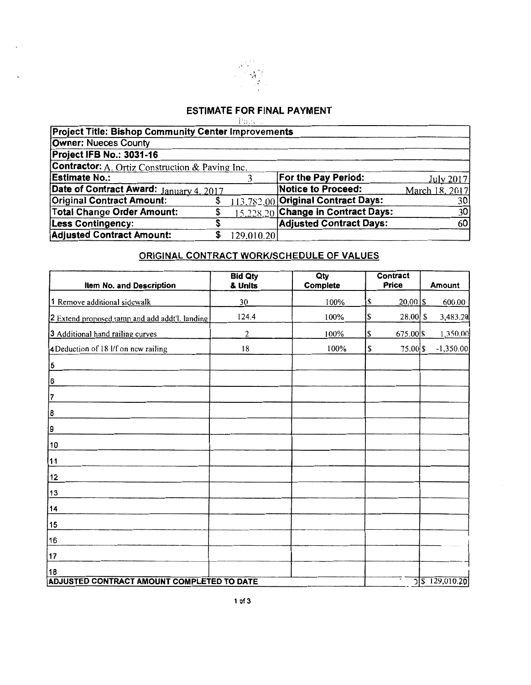

### **ESTIMATE FOR FINAL PAYMENT** - Paec 2

| <b>Project Title: Bishop Community Center Improvements</b> |            |                                    |                |
|------------------------------------------------------------|------------|------------------------------------|----------------|
| <b>Owner: Nueces County</b>                                |            |                                    |                |
| Project IFB No.: 3031-16                                   |            |                                    |                |
| <b>Contractor:</b> A. Ortiz Construction & Paving Inc.     |            |                                    |                |
| <b>Estimate No.:</b>                                       |            | For the Pay Period:                | July 2017      |
| Date of Contract Award: January 4, 2017                    |            | <b>Notice to Proceed:</b>          | March 18, 2017 |
| <b>Original Contract Amount:</b>                           |            | 113,782.00 Original Contract Days: | 301            |
| <b>Total Change Order Amount:</b>                          |            | 15,228.20 Change in Contract Days: | 30             |
| <b>Less Contingency:</b>                                   |            | <b>Adjusted Contract Days:</b>     | 60             |
| <b>Adjusted Contract Amount:</b>                           | 129,010.20 |                                    |                |

## ORIGINAL CONTRACT WORK/SCHEDULE OF VALUES

| Item No. and Description                       | <b>Bid Qty</b><br>& Units | Qty<br>Complete |     | <b>Contract</b><br><b>Price</b> | Amount         |
|------------------------------------------------|---------------------------|-----------------|-----|---------------------------------|----------------|
|                                                |                           |                 |     |                                 |                |
| 1 Remove additional sidewalk                   | 30                        | 100%            | \$. | $20,00$ $\sqrt{s}$              | 600.00         |
| 2 Extend proposed ramp and add addt'l. landing | 124.4                     | 100%            | \$  | $28.00$ \$                      | 3,483.20       |
| 3 Additional hand railing curves               | 2                         | 100%            | S   | 675.00 \$                       | 1,350.00       |
| 4Deduction of 18 l/f on new railing            | 18                        | 100%            | \$  | 75.00 \$                        | $-1,350.00$    |
| 5                                              |                           |                 |     |                                 |                |
| 6                                              |                           |                 |     |                                 |                |
| 7                                              |                           |                 |     |                                 |                |
| 8                                              |                           |                 |     |                                 |                |
| 19                                             |                           |                 |     |                                 |                |
| 10                                             |                           |                 |     |                                 |                |
| 11                                             |                           |                 |     |                                 |                |
| 12                                             |                           |                 |     |                                 |                |
| 13                                             |                           |                 |     |                                 |                |
| 14                                             |                           |                 |     |                                 |                |
| 15                                             |                           |                 |     |                                 |                |
| 16                                             |                           |                 |     |                                 |                |
| 17                                             |                           |                 |     |                                 |                |
| 18                                             |                           |                 |     |                                 |                |
| ADJUSTED CONTRACT AMOUNT COMPLETED TO DATE     |                           |                 |     |                                 | 5 5 129,010.20 |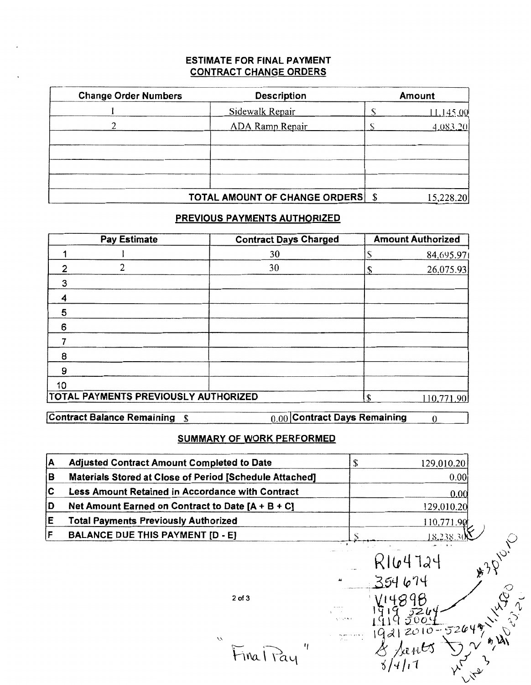### **ESTIMATE FOR FINAL PAYMENT CONTRACT CHANGE ORDERS**

| <b>Change Order Numbers</b> | <b>Description</b>                   | Amount    |
|-----------------------------|--------------------------------------|-----------|
|                             | Sidewalk Repair                      | 1,145,00  |
|                             | <b>ADA Ramp Repair</b>               | 4.083.20  |
|                             |                                      |           |
|                             |                                      |           |
|                             |                                      |           |
|                             |                                      |           |
|                             | <b>TOTAL AMOUNT OF CHANGE ORDERS</b> | 15,228.20 |

## PREVIOUS PAYMENTS AUTHORIZED

|    | <b>Pay Estimate</b>                  | <b>Contract Days Charged</b> |    | <b>Amount Authorized</b> |
|----|--------------------------------------|------------------------------|----|--------------------------|
|    |                                      | 30                           |    | 84,695.97                |
| າ  | 2                                    | 30                           |    | 26,075.93                |
| 3  |                                      |                              |    |                          |
| 4  |                                      |                              |    |                          |
| 5  |                                      |                              |    |                          |
| 6  |                                      |                              |    |                          |
|    |                                      |                              |    |                          |
| 8  |                                      |                              |    |                          |
| 9  |                                      |                              |    |                          |
| 10 |                                      |                              |    |                          |
|    | TOTAL PAYMENTS PREVIOUSLY AUTHORIZED |                              | £. | 110.771.90               |

**Contract Balance Remaining \$** 

0.00 Contract Days Remaining

 $\overline{0}$ 

## **SUMMARY OF WORK PERFORMED**

| А | <b>Adjusted Contract Amount Completed to Date</b>       | \$              | 129,010.20                |               |
|---|---------------------------------------------------------|-----------------|---------------------------|---------------|
| в | Materials Stored at Close of Period [Schedule Attached] |                 | 0.00                      |               |
| C | Less Amount Retained in Accordance with Contract        |                 | 0.00                      |               |
|   | Net Amount Earned on Contract to Date $[A + B + C]$     |                 | 129,010.20                |               |
|   | <b>Total Payments Previously Authorized</b>             |                 | 110,771.90                |               |
|   | <b>BALANCE DUE THIS PAYMENT [D - E]</b>                 | $\cdots$        | 18.238.                   |               |
|   | $2$ of $3$<br>À<br>11<br>FinalPay                       | 44<br>gong tina | R164724<br>$2010 - 52649$ | $\hat{\beta}$ |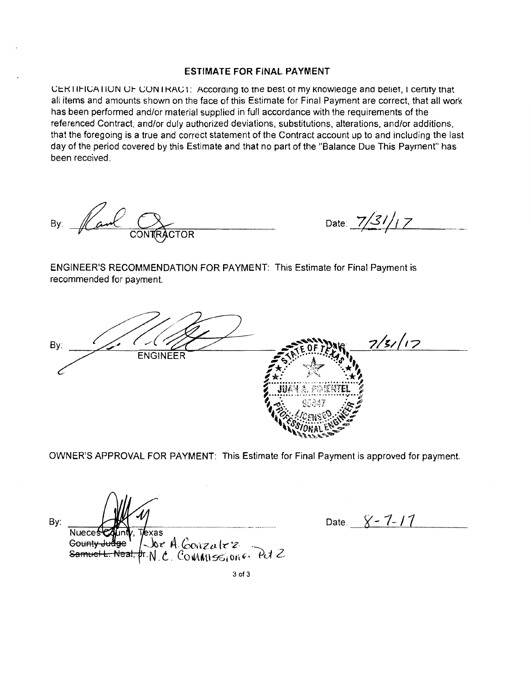### **ESTIMATE FOR FINAL PAYMENT**

CERTIFICATION OF CONTRACT: According to the best of my knowledge and belief, I certify that all items and amounts shown on the face of this Estimate for Final Payment are correct, that all work has been performed and/or material supplied in full accordance with the requirements of the referenced Contract, and/or duly authorized deviations, substitutions, alterations, and/or additions, that the foregoing is a true and correct statement of the Contract account up to and including the last day of the period covered by this Estimate and that no part of the "Balance Due This Payment" has been received.

By:

Date:  $7/31/17$ 

ENGINEER'S RECOMMENDATION FOR PAYMENT: This Estimate for Final Payment is recommended for payment.

 $7/5/17$ By: **ENGINEER** 

OWNER'S APPROVAL FOR PAYMENT: This Estimate for Final Payment is approved for payment.

By: Nueces t **l**exas Joe A Conzalez Gounty Jue Samuel L. Neal. pr. N. C. COWINISSION 6. Pct 2

Date.  $8 - 7 - 11$ 

3 of 3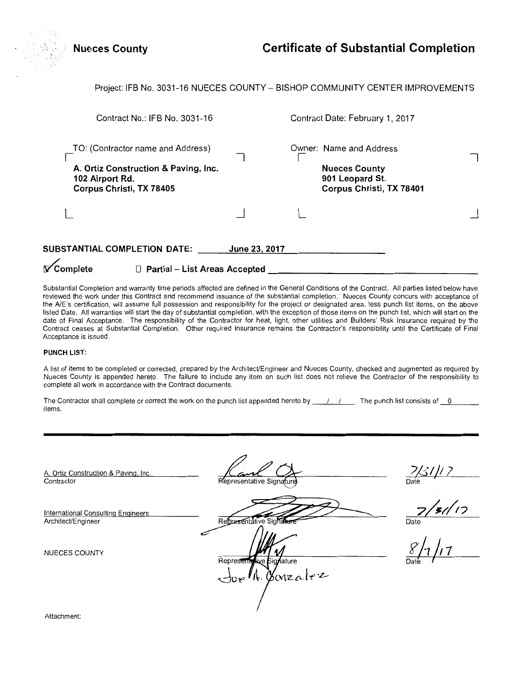| <b>Nueces County</b>                                                                                                     |               | <b>Certificate of Substantial Completion</b>                                                   |  |
|--------------------------------------------------------------------------------------------------------------------------|---------------|------------------------------------------------------------------------------------------------|--|
| Project: IFB No. 3031-16 NUECES COUNTY - BISHOP COMMUNITY CENTER IMPROVEMENTS                                            |               |                                                                                                |  |
| Contract No.: IFB No. 3031-16                                                                                            |               | Contract Date: February 1, 2017                                                                |  |
| TO: (Contractor name and Address)<br>A. Ortiz Construction & Paving, Inc.<br>102 Airport Rd.<br>Corpus Christi, TX 78405 |               | Owner: Name and Address<br><b>Nueces County</b><br>901 Leopard St.<br>Corpus Christi, TX 78401 |  |
|                                                                                                                          |               |                                                                                                |  |
| SUBSTANTIAL COMPLETION DATE:                                                                                             | June 23, 2017 |                                                                                                |  |

**√**Complete □ Partial - List Areas Accepted

Substantial Completion and warranty time periods affected are defined in the General Conditions of the Contract. All parties listed below have reviewed the work under this Contract and recommend issuance of the substantial completion. Nueces County concurs with acceptance of the A/E's certification, will assume full possession and responsibility for the project or designated area, less punch list items, on the above listed Date. All warranties will start the day of substantial completion, with the exception of those items on the punch list, which will start on the date of Final Acceptance. The responsibility of the Contractor for heat, light, other utilities and Builders' Risk Insurance required by the Contract ceases at Substantial Completion. Other required insurance remains the Contractor's responsibility until the Certificate of Final Acceptance is issued.

#### **PUNCH LIST:**

A list of items to be completed or corrected, prepared by the Architect/Engineer and Nueces County, checked and augmented as required by Nueces County is appended hereto. The failure to include any item on such list does not relieve the Contractor of the responsibility to complete all work in accordance with the Contract documents.

| The Contractor shall complete or correct the work on the punch list appended hereto by | . The punch list consists of $\qquad 0$ |  |
|----------------------------------------------------------------------------------------|-----------------------------------------|--|
| items.                                                                                 |                                         |  |

A. Ortiz Construction & Paving, Inc. **Contractor** 

Representative Signa

*7/31/17*<br><sup>Date</sup>

*Dad~ I* 

International Consulting Engineers

NUECES COUNTY

Architect/Engineer Representative Signature Represe Gonzalez

Attachment: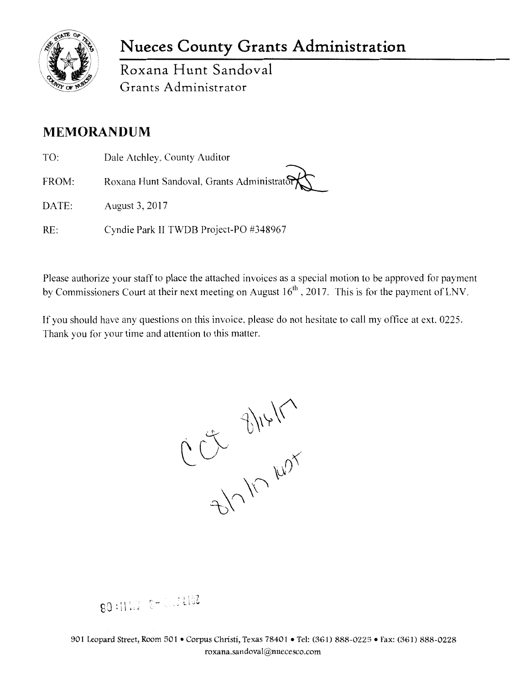

## **Nueces County Grants Administration**

Roxana **Hunt** Sandoval Grants Administrator

## **MEMORANDUM**

- TO: FROM: DATE: Dale Atchley, County Auditor Roxana Hunt Sandoval, Grants Administrator August 3, 2017
- RE: Cyndie Park II TWDB Project-PO #348967

Please authorize your staff to place the attached invoices as a special motion to be approved for payment by Commissioners Court at their next meeting on August  $16<sup>th</sup>$ , 2017. This is for the payment of LNV.

If you should have any questions on this invoice, please do not hesitate to call my office at ext. 0225. Thank you for your time and attention to this matter.

B/V/V/W/V

.J LI 06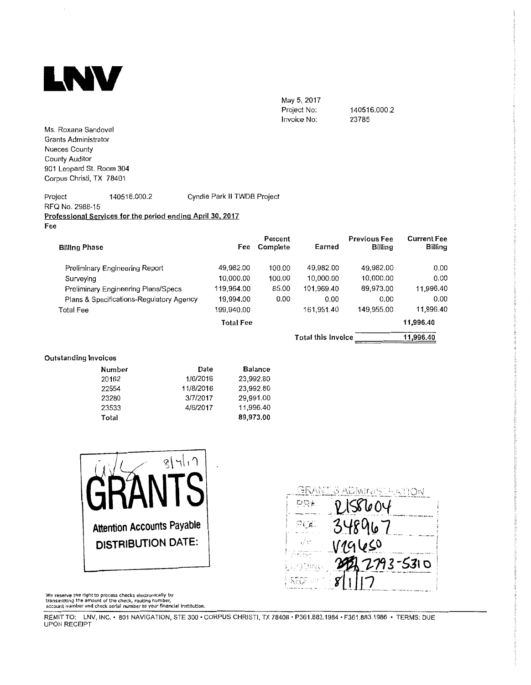

May 5, 2017 Project No: Invoice No:

140516.000.2 23785

Ms. Roxana Sandoval Grants Administrator Nueces County County Auditor 901 Leopard St. Room 304 Corpus Christi, TX 78401

Project 140516.000.2 Cyndie Park II TWDB Project RFQ No. 2988-15 **Professional Services for the period ending April 30. 2017 Fee** 

| <b>Billing Phase</b>                     | Fee        | Percent<br>Complete | Earned                    | <b>Previous Fee</b><br>Billing | <b>Current Fee</b><br><b>Billing</b> |
|------------------------------------------|------------|---------------------|---------------------------|--------------------------------|--------------------------------------|
| Preliminary Engineering Report           | 49,982.00  | 100.00              | 49,982.00                 | 49,982.00                      | 0.00                                 |
| Surveying                                | 10,000.00  | 100.00              | 10,000.00                 | 10,000.00                      | 0.00                                 |
| Preliminary Engineering Plans/Specs      | 119,964.00 | 85.00               | 101.969.40                | 89,973.00                      | 11,996.40                            |
| Plans & Specifications-Regulatory Agency | 19,994.00  | 0.00                | 0.00                      | 0.00                           | 0.00                                 |
| Total Fee                                | 199,940.00 |                     | 161,951.40                | 149,955.00                     | 11,996.40                            |
|                                          | Total Fee  |                     |                           |                                | 11,996.40                            |
|                                          |            |                     | <b>Total this Invoice</b> |                                | 11,996.40                            |

#### **Outstanding Invoices**

| Number | Date      | <b>Balance</b> |
|--------|-----------|----------------|
| 20162  | 1/6/2016  | 23,992.80      |
| 22554  | 11/8/2016 | 23,992.80      |
| 23280  | 3/7/2017  | 29.991.00      |
| 23533  | 4/6/2017  | 11,996.40      |
| Total  |           | 89,973,00      |





We reserve the right to process checks electronically by<br>transmitting the amount of the check, routing number,<br>account number and check serlaf number to your financial Institution.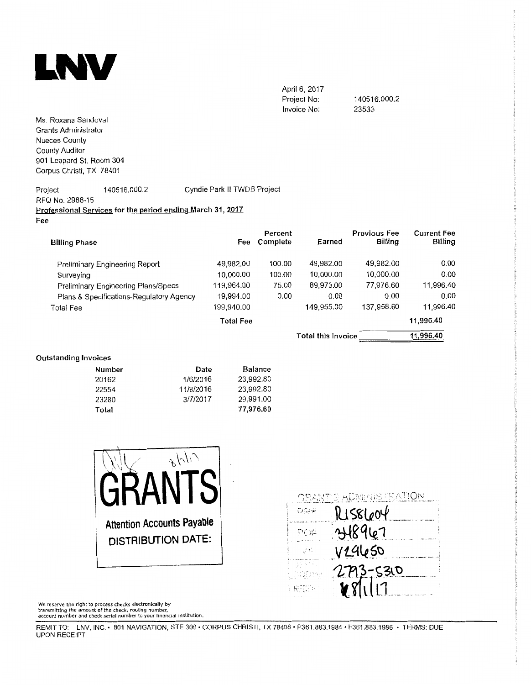

April 6, 2017 Project No: Invoice No:

140516.000.2 23533

Ms. Roxana Sandoval Grants Administrator Nueces County County Auditor 901 Leopard St. Room 304 Corpus Christi, TX 78401

#### Project 140516.000.2 Cyndie Park II TWDB Project RFQ No. 2988-15 Professional Services for the period ending March 31, 2017 Fee

| <b>Billing Phase</b>                     | Fee        | Percent<br>Complete | Earned             | <b>Previous Fee</b><br>Billing | <b>Current Fee</b><br>Billing |
|------------------------------------------|------------|---------------------|--------------------|--------------------------------|-------------------------------|
| Preliminary Engineering Report           | 49,982.00  | 100,00              | 49,982.00          | 49,982.00                      | 0.00                          |
| Surveying                                | 10,000.00  | 100.00              | 10,000.00          | 10,000,00                      | 0.00                          |
| Preliminary Engineering Plans/Specs      | 119,964.00 | 75.00               | 89,973.00          | 77,976.60                      | 11,996.40                     |
| Plans & Specifications-Regulatory Agency | 19,994.00  | 0.00                | 0.00               | 0.00                           | 0.00                          |
| <b>Total Fee</b>                         | 199,940.00 |                     | 149,955.00         | 137,958.60                     | 11,996.40                     |
|                                          | Total Fee  |                     |                    |                                | 11,996.40                     |
|                                          |            |                     | Total this invoice |                                | 11,996.40                     |

### **Outstanding Invoices**

| Number | Date      | Balance   |
|--------|-----------|-----------|
| 20162  | 1/6/2016  | 23.992.80 |
| 22554  | 11/8/2016 | 23,992.80 |
| 23280  | 3/7/2017  | 29.991.00 |
| Total  |           | 77,976.60 |





We reserve the right to process checks electronically by<br>transmitting the amount of the check, routing number,<br>account number and check serial number to your financial institution.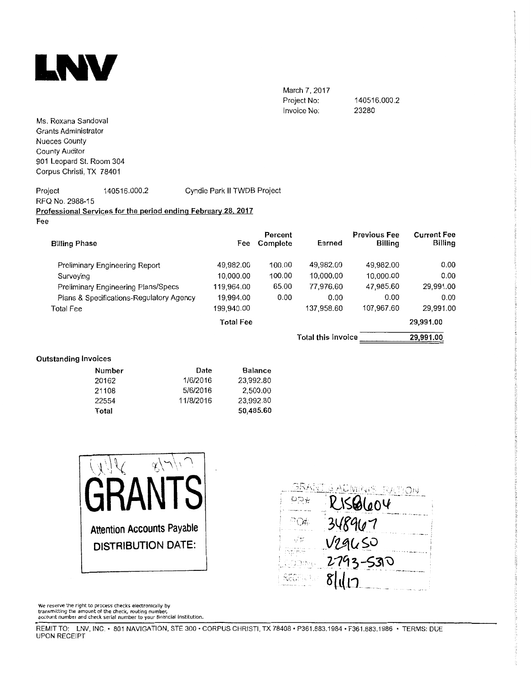

March 7, 2017 Project No: Invoice No:

140516.000.2 23280

Ms. Roxana Sandoval Grants Administrator Nueces County County Auditor 901 Leopard St. Room 304 Corpus Christi, TX 78401

#### Project 140516.000.2 RFQ No. 2988-15 Cyndie Park II TWDB Project **Professional Services for the period ending February 28. 2017**  Fee

| <b>Billing Phase</b>                     | Fee              | Percent<br>Complete | Earned                    | <b>Previous Fee</b><br><b>Billing</b> | <b>Current Fee</b><br>Billing |
|------------------------------------------|------------------|---------------------|---------------------------|---------------------------------------|-------------------------------|
| Preliminary Engineering Report           | 49,982.00        | 100.00              | 49,982.00                 | 49.982.00                             | 0.00                          |
| Surveying                                | 10,000.00        | 100.00              | 10,000.00                 | 10,000.00                             | 0.00                          |
| Preliminary Engineering Plans/Specs      | 119,964.00       | 65.00               | 77,976.60                 | 47,985.60                             | 29.991.00                     |
| Plans & Specifications-Regulatory Agency | 19,994.00        | 0.00                | 0.00                      | 0.00                                  | 0.00                          |
| Total Fee                                | 199.940.00       |                     | 137,958.60                | 107,967.60                            | 29,991.00                     |
|                                          | <b>Total Fee</b> |                     |                           |                                       | 29,991.00                     |
|                                          |                  |                     | <b>Total this invoice</b> |                                       | 29,991.00                     |

### **Outstanding Invoices**

| Number | Date      | <b>Balance</b> |
|--------|-----------|----------------|
| 20162  | 1/6/2016  | 23 992.80      |
| 21108  | 5/6/2016  | 2.500.00       |
| 22554  | 11/8/2016 | 23.992.80      |
| Total  |           | 50,485.60      |



We reserve the right to process checks electronically by<br>transmitting the amount of the check, routing number,<br>account number and check serial number to your financial institution.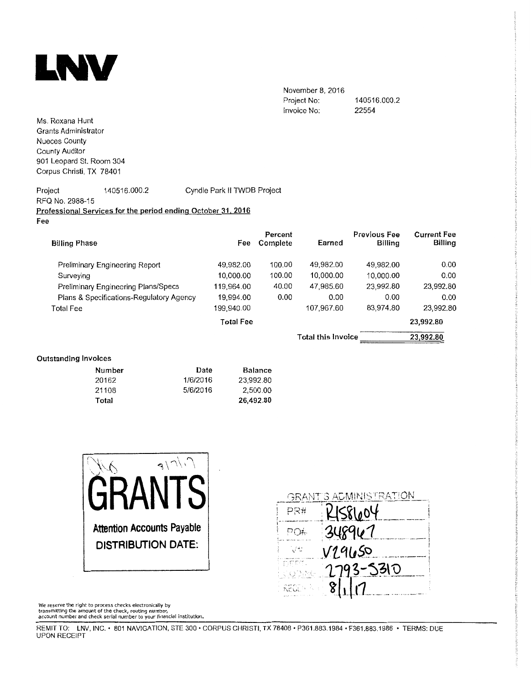

November 8, 2016 Project No: Invoice No: 140516.000.2 22554

Ms. Roxana Hunt Grants Administrator Nueces County County Auditor 901 Leopard St. Room 304 Corpus Christi, TX 78401

### Project 140516.000.2 Cyndie Park II TWDB Project RFQ No. 2988-15 **Professional Services for the period ending October 31, 2016 Fee**

| <b>Billing Phase</b>                     | Fee              | Percent<br>Complete | Earned                    | <b>Previous Fee</b><br>Billing | <b>Current Fee</b><br>Billing |
|------------------------------------------|------------------|---------------------|---------------------------|--------------------------------|-------------------------------|
| Preliminary Engineering Report           | 49,982.00        | 100.00              | 49,982.00                 | 49,982.00                      | 0.00                          |
| Surveying                                | 10,000.00        | 100.00              | 10,000.00                 | 10,000,00                      | 0.00                          |
| Preliminary Engineering Plans/Specs      | 119,964.00       | 40.00               | 47,985.60                 | 23.992.80                      | 23,992.80                     |
| Plans & Specifications-Regulatory Agency | 19,994.00        | 0.00                | 0.00                      | 0.00                           | 0.00                          |
| Total Fee                                | 199,940.00       |                     | 107,967.60                | 83,974.80                      | 23,992.80                     |
|                                          | <b>Total Fee</b> |                     |                           |                                | 23,992.80                     |
|                                          |                  |                     | <b>Total this Invoice</b> |                                | 23,992.80                     |
|                                          |                  |                     |                           |                                |                               |

### **Outstanding Invoices**

| Number | Date     | <b>Balance</b> |
|--------|----------|----------------|
| 20162  | 1/6/2016 | 23.992.80      |
| 21108  | 5/6/2016 | 2.500.00       |
| Total  |          | 26,492.80      |



|                | GRANT'S ADMINISTRATION |
|----------------|------------------------|
| PR#            | KIS8604                |
| PO#            | 348967                 |
| Ww             | V19650                 |
| DEET.<br>00DAK | 2793-5310              |
| REGEN R        | 8117                   |

We reserve the right to process checks electronically by<br>transmitting the amount of the check, routing number,<br>account number and check serial number to your financial institution**.**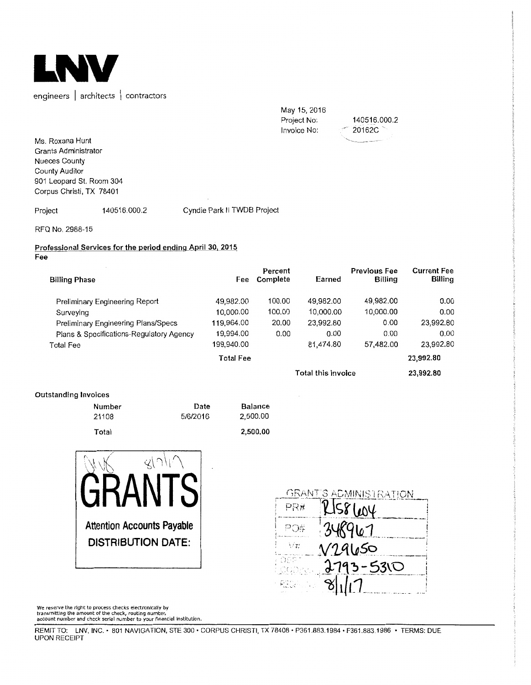

May 15, 2016 Project No: Invoice No: 140516.000.2 ' 20162C,

Ms. Roxana Hunt Grants Administrator Nueces County County Auditor 901 Leopard St. Room 304 Corpus Christi, TX 78401

Project 140516.000.2 Cyndie Park II TWDB Project

RFQ No, 2988-15

#### **Professional Services for the period ending April 30, 2015 Fee**

| <b>Billing Phase</b>                     | Fee              | Percent<br>Complete | Earned             | <b>Previous Fee</b><br><b>Billing</b> | <b>Current Fee</b><br>Billing |
|------------------------------------------|------------------|---------------------|--------------------|---------------------------------------|-------------------------------|
| Preliminary Engineering Report           | 49,982.00        | 100.00              | 49,982.00          | 49,982.00                             | 0.00                          |
| Surveying                                | 10,000.00        | 100.00              | 10,000.00          | 10,000.00                             | 0.00                          |
| Preliminary Engineering Plans/Specs      | 119,964.00       | 20.00               | 23,992.80          | 0.00                                  | 23,992.80                     |
| Plans & Specifications-Regulatory Agency | 19,994.00        | 0.00                | 0.00               | 0.00                                  | 0.00                          |
| Total Fee                                | 199,940.00       |                     | 81,474.80          | 57,482.00                             | 23,992.80                     |
|                                          | <b>Total Fee</b> |                     |                    |                                       | 23,992.80                     |
|                                          |                  |                     | Total this Invoice |                                       | 23,992.80                     |

### **Outstanding Invoices**

| Number | Date     | <b>Balance</b> |
|--------|----------|----------------|
| 21108  | 5/6/2016 | 2,500.00       |
| Total  |          | 2,500,00       |





We reserve the right to process checks electronically by<br>transmitting the amount of the check, routing number,<br>account number and check serial number to your financial institution.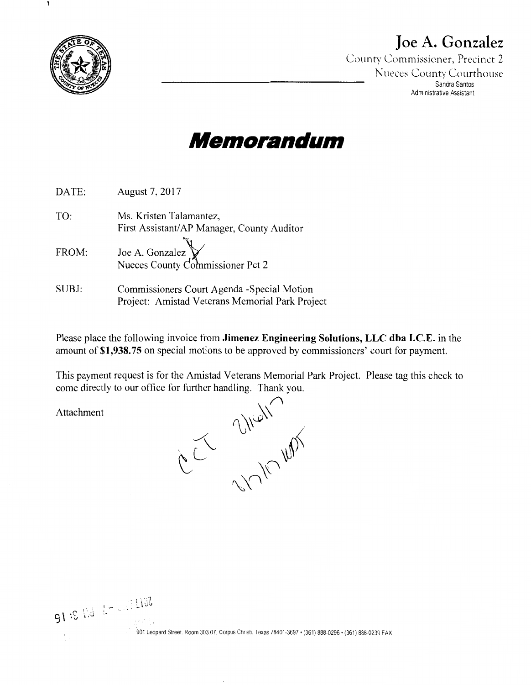

A

## **Joe A. Gonzalez**

County Commissioner, Precinct 2 Nueces County Courthouse Sandra Santos Administrative Assistant

# **Meniorandun,**

| DATE: | August 7, 2017                                                                                 |
|-------|------------------------------------------------------------------------------------------------|
| TO:   | Ms. Kristen Talamantez,<br>First Assistant/AP Manager, County Auditor                          |
| FROM: | Joe A. Gonzalez<br>Nueces County Commissioner Pct 2                                            |
| SUBJ: | Commissioners Court Agenda - Special Motion<br>Project: Amistad Veterans Memorial Park Project |

Please place the following invoice from **Jimenez Engineering Solutions, LLC dba I.C.E.** in the amount of **\$1,938.75** on special motions to be approved by commissioners' court for payment.

This payment request is for the Amistad Veterans Memorial Park Project. Please tag this check to come directly to our office for further handling. Thank you.

Attachment

91 :  $L = L$  .  $100$ 

 $\sqrt{\sqrt{2}}$  $\int$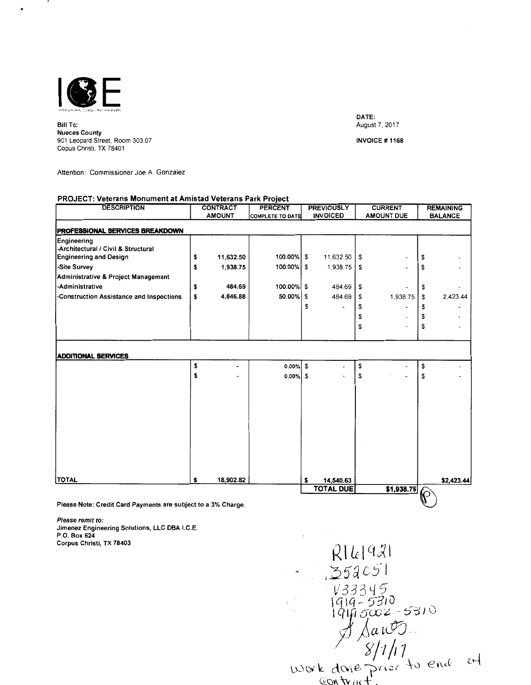

Bill To: **Nueces** County 901 Leopard Street, Room 303.07 Copus Christi, TX 78401

DATE: August 7, 2017

INVOICE# 1168

Attention: Commissioner Joe A. Gonzalez

#### **PROJECT: Veterans Monument at Amistad Veterans Park Project**

| <b>DESCRIPTION</b>                                           |    | <b>CONTRACT</b> | <b>PERCENT</b>          | <b>PREVIOUSLY</b> |      | <b>CURRENT</b>    |              | <b>REMAINING</b> |
|--------------------------------------------------------------|----|-----------------|-------------------------|-------------------|------|-------------------|--------------|------------------|
|                                                              |    | <b>AMOUNT</b>   | <b>COMPLETE TO DATE</b> | <b>INVOICED</b>   |      | <b>AMOUNT DUE</b> |              | <b>BALANCE</b>   |
| <b>PROFESSIONAL SERVICES BREAKDOWN</b>                       |    |                 |                         |                   |      |                   |              |                  |
| Engineering                                                  |    |                 |                         |                   |      |                   |              |                  |
| -Architectural / Civil & Structural                          |    |                 |                         |                   |      |                   |              |                  |
| <b>Engineering and Design</b>                                | \$ | 11,632.50       | 100.00%                 | \$<br>11,632.50   | \$   |                   | \$           |                  |
| -Site Survey                                                 | \$ | 1,938.75        | 100.00%                 | \$<br>1,938.75    | l \$ |                   | \$           |                  |
| Administrative & Project Management                          |    |                 |                         |                   |      |                   |              |                  |
| -Administrative                                              | \$ | 484.69          | 100.00%                 | \$<br>484.69      | \$   |                   | \$           |                  |
| -Construction Assistance and Inspections                     | \$ | 4,846.88        | 50.00%                  | \$<br>484.69      | \$   | 1,938.75          | \$           | 2,423.44         |
|                                                              |    |                 |                         | \$                | \$   |                   | \$           |                  |
|                                                              |    |                 |                         |                   | \$   |                   | \$           |                  |
|                                                              |    |                 |                         |                   | \$   |                   | \$           |                  |
|                                                              |    |                 |                         |                   |      |                   |              |                  |
|                                                              |    |                 |                         |                   |      |                   |              |                  |
| <b>ADDITIONAL SERVICES</b>                                   |    |                 |                         |                   |      |                   |              |                  |
|                                                              | \$ |                 | 0.00%                   | \$                | \$   |                   | \$           |                  |
|                                                              | \$ |                 | $0.00\%$ \$             |                   | \$   |                   | \$           |                  |
|                                                              |    |                 |                         |                   |      |                   |              |                  |
|                                                              |    |                 |                         |                   |      |                   |              |                  |
|                                                              |    |                 |                         |                   |      |                   |              |                  |
|                                                              |    |                 |                         |                   |      |                   |              |                  |
|                                                              |    |                 |                         |                   |      |                   |              |                  |
|                                                              |    |                 |                         |                   |      |                   |              |                  |
|                                                              |    |                 |                         |                   |      |                   |              |                  |
|                                                              |    |                 |                         |                   |      |                   |              |                  |
|                                                              |    |                 |                         |                   |      |                   |              |                  |
|                                                              |    |                 |                         |                   |      |                   |              |                  |
| <b>TOTAL</b>                                                 | S  | 18,902.82       |                         | \$<br>14,540.63   |      |                   |              | \$2,423.44       |
|                                                              |    |                 |                         | <b>TOTAL DUE</b>  |      | \$1,938.75        |              |                  |
|                                                              |    |                 |                         |                   |      |                   | $\mathbb{C}$ |                  |
| Please Note: Credit Card Payments are subject to a 3% Charge |    |                 |                         |                   |      |                   |              |                  |

Please Note: Credit Card Payments are subject to a 3% Charge.

Please remit to: Jimenez Engineering Solutions, LLC DBA I.C.E. P.O. Box 624 Corpus Christi, TX 78403

 $R16|921$ <br> $354051$  $x = 258051$ <br>  $x = 73845$ <br>  $x = 7310$ <br>  $x = 7310$ <br>  $x = 7310$ <br>  $x = 71/17$ <br>  $x = 71/17$ <br>  $x = 71/17$ <br>  $x = 71/17$ <br>  $x = 71/17$ <br>  $x = 71/17$ <br>  $x = 71/17$ <br>  $x = 71/17$ <br>  $x = 71/17$ <br>  $x = 71/17$ <br>  $x = 71/17$ <br>  $x = 71/17$ <br>  $x = 71/17$ <br>  $x = 71/$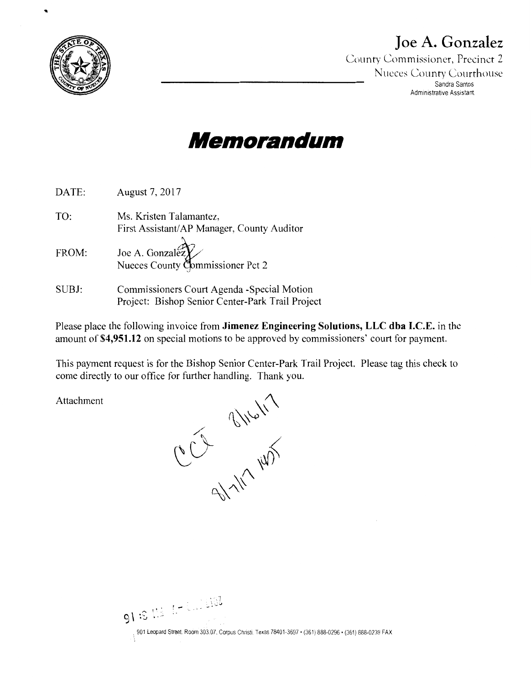

..

# **Joe A. Gonzalez**

County Commissioner, Precinct 2 **Nueces County Courthouse** Sandra Santos Administrative Assistant

# **Memorandum**

| DATE: | August 7, 2017                                                                                  |
|-------|-------------------------------------------------------------------------------------------------|
| TO:   | Ms. Kristen Talamantez,<br>First Assistant/AP Manager, County Auditor                           |
| FROM: | Joe A. Gonzalez<br>Nueces County Commissioner Pct 2                                             |
| SUBJ: | Commissioners Court Agenda - Special Motion<br>Project: Bishop Senior Center-Park Trail Project |

Please place the following invoice from **Jimenez Engineering Solutions, LLC dba I.C.E.** in the amount of **\$4,951.12** on special motions to be approved by commissioners' court for payment.

This payment request is for the Bishop Senior Center-Park Trail Project. Please tag this check to come directly to our office for further handling. Thank you.

Attachment

entiry way

91 :S Mà 1-Luis 192 901 Leopard Street. Room 30307. Corpus Christi. Texas 78401-3697 • (361) 888-0296 • (361) 888-0239 FAX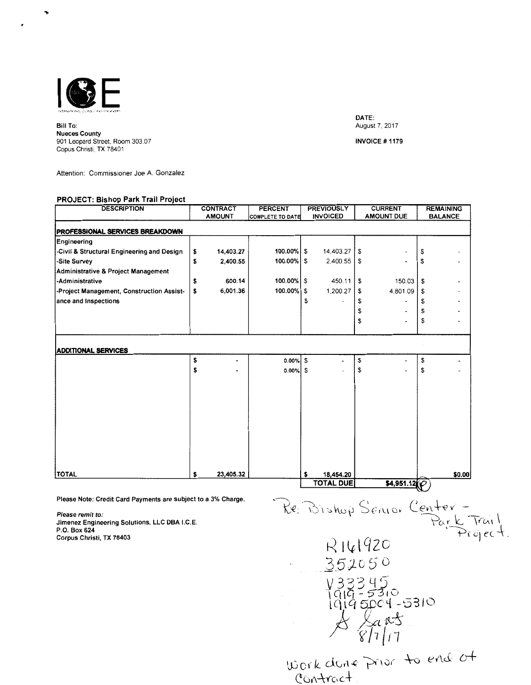

Bill To: Nueces County 901 Leopard Street, Room 303 07 Copus Christi, TX 78401

DATE: August 7, 2017

INVOICE # 1179

Attention: Commissioner Joe A. Gonzalez

#### **PROJECT: Bishop Park Trail Project**

| <b>AMOUNT</b><br>14,403.27<br>\$<br>2,400.55<br>\$ | <b>COMPLETE TO DATE</b><br>100.00% | \$                    | <b>INVOICED</b><br>14,403.27               |           | <b>AMOUNT DUE</b> |                                    | <b>BALANCE</b> |
|----------------------------------------------------|------------------------------------|-----------------------|--------------------------------------------|-----------|-------------------|------------------------------------|----------------|
|                                                    |                                    |                       |                                            |           |                   |                                    |                |
|                                                    |                                    |                       |                                            |           |                   |                                    |                |
|                                                    |                                    |                       |                                            |           |                   |                                    |                |
|                                                    |                                    |                       |                                            | S.        |                   | \$                                 |                |
|                                                    | $100.00\%$ \$                      |                       | 2,400.55                                   | S         |                   | \$                                 |                |
|                                                    |                                    |                       |                                            |           |                   |                                    |                |
| 600.14<br>\$                                       | $100.00\%$ S                       |                       | 450.11                                     | \$        | 150.03            | \$                                 |                |
| \$                                                 |                                    |                       | 1,200.27                                   | \$        | 4,801.09          | -\$                                |                |
|                                                    |                                    | S                     |                                            | \$        |                   | \$                                 |                |
|                                                    |                                    |                       |                                            | \$        |                   | \$                                 |                |
|                                                    |                                    |                       |                                            | \$        |                   | \$                                 |                |
|                                                    |                                    |                       |                                            |           |                   |                                    |                |
|                                                    |                                    |                       |                                            |           |                   |                                    |                |
| \$                                                 |                                    | S                     |                                            | \$        |                   | \$                                 |                |
| \$                                                 |                                    |                       |                                            | \$        |                   | \$                                 |                |
|                                                    |                                    |                       |                                            |           |                   |                                    |                |
|                                                    |                                    |                       |                                            |           |                   |                                    |                |
|                                                    |                                    |                       |                                            |           |                   |                                    |                |
|                                                    |                                    |                       |                                            |           |                   |                                    |                |
|                                                    |                                    |                       |                                            |           |                   |                                    |                |
|                                                    |                                    |                       |                                            |           |                   |                                    |                |
|                                                    |                                    |                       |                                            |           |                   |                                    |                |
|                                                    |                                    |                       |                                            |           |                   |                                    |                |
|                                                    |                                    |                       |                                            |           |                   |                                    |                |
|                                                    |                                    |                       |                                            |           |                   |                                    |                |
| s                                                  |                                    |                       |                                            |           |                   |                                    | \$0.00         |
|                                                    |                                    | 6,001.36<br>23,405.32 | $100.00\%$ \$<br>0.00%<br>$0.00\%$ \$<br>s | 18,454.20 |                   | <b>TOTAL DUE</b><br>\$4,951.12 $Q$ |                |

Please remit to: Jimenez Engineering Solutions, LLC OBA I.C.E. P.O. Box 624 Corpus Christi, TX 78403

Park Trail R141920 352050  $V33345$ <br>1919 - 5310<br>1919 5004 - 5310<br>A Sants

'S.Jodc\_ d.Grl.( ~"1vr -\-0 e'AJ:; *o+*  ourle exoner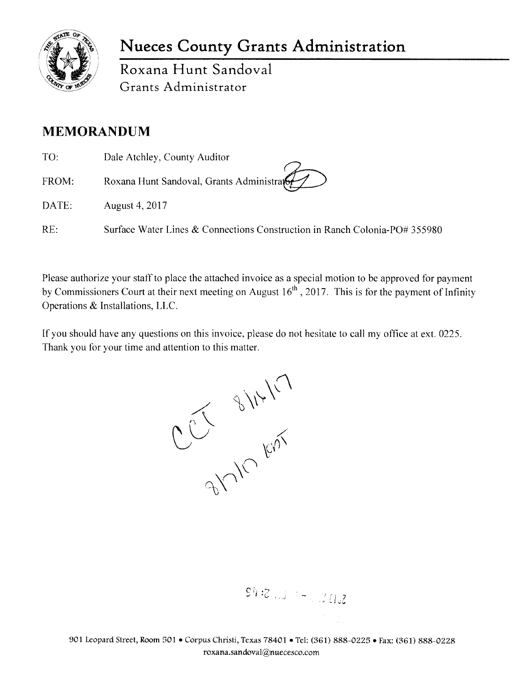

## **Nueces County Grants Administration**

Roxana **Hunt** Sandoval Grants Administrator

## **MEMORANDUM**

TO: FROM: Dale Atchley, County Auditor Roxana Hunt Sandoval, Grants Administrat

DATE: August 4, 2017

RE: Surface Water Lines & Connections Construction in Ranch Colonia-PO# 355980

Please authorize your staff to place the attached invoice as a special motion to be approved for payment by Commissioners Court at their next meeting on August  $16<sup>th</sup>$ , 2017. This is for the payment of Infinity Operations & Installations, LLC.

If you should have any questions on this invoice, please do not hesitate to call my office at ext. 0225.

Thank you for your time and attention to this matter.

 $99.313 + 1.302$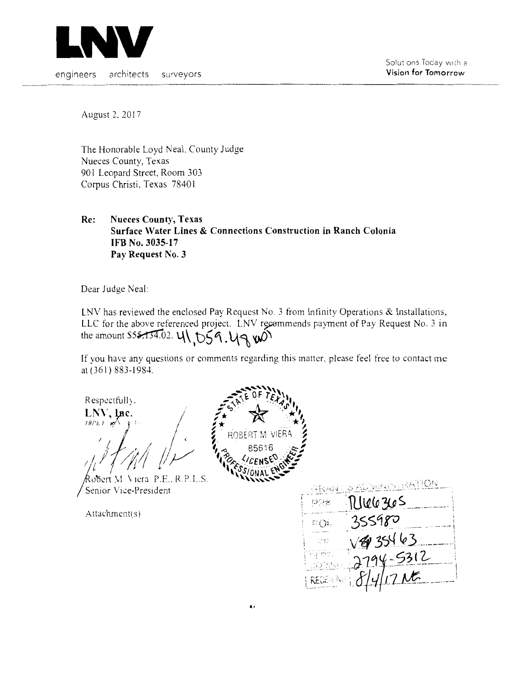

Solut ons Today with a **Vision for Tomorrow** 

engineers architects surveyors

August 2, 2017

The Honorable Loyd Neal. County Judge Nueces County, Texas 901 Leopard Street, Room 303 Corpus Christi. Texas 78401

**Re: Nueces County, Texas Surface Water Lines & Connections Construction in Ranch Colonia IFB No. 3035-17 Pay Request No. 3** 

Dear Judge Neal:

LNV has reviewed the enclosed Pay Request No. 3 from Infinity Operations & Installations, LLC for the above referenced project. LNV recommends payment of Pay Request No. 3 in the amount S55,134.02.  $4\sqrt{59}$ ,  $49$   $\sqrt{0}$ 

If you have any questions or comments regarding this matter. please feel free to contact me at (361) 883-1984.

Respectfully.

~~~')'r // I/ I, , *I* ' */~! /?ii/ /!Y* 

1o'5crt \1 \ 1era P.E .. RP L.S. Senior Vice-President

Attachment( s)



्रस्लिज pge  $CO<sub>2</sub>$ 463<br>-5312<br>7 M 寻常 rijijet  $(02)!$ REGEN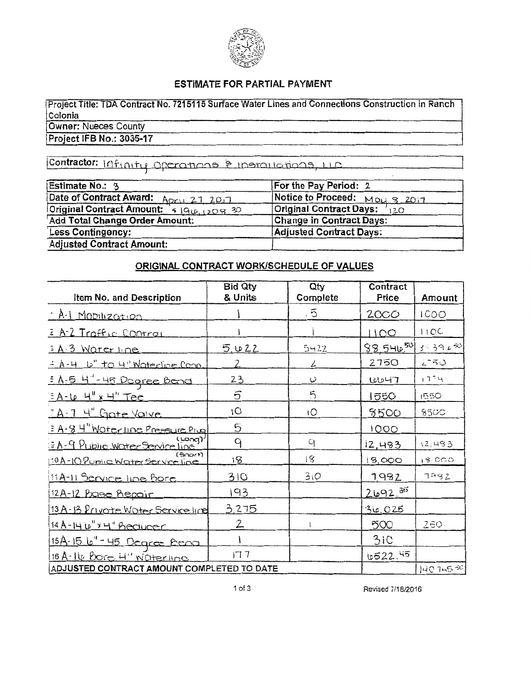

### ESTIMATE FOR PARTIAL PAYMENT

Project Title: TDA Contract No. 7215115 Surface Water Lines and Connections Construction in Ranch Colonia Owner: Nueces County

Project IFB No.: 3035-17

Contractor: Infinity Operations & Installations, LLC

| Estimate No.: 3                          | For the Pay Period: 2           |
|------------------------------------------|---------------------------------|
| Date of Contract Award: April 21 20.7    | Notice to Proceed: Mau 8, 2017  |
| Original Contract Amount: 4 196, 1208.30 | Original Contract Days: 120     |
| Add Total Change Order Amount:           | <b>Change in Contract Days:</b> |
| Less Contingency:                        | <b>Adjusted Contract Days:</b>  |
| <b>Adjusted Contract Amount:</b>         |                                 |

### ORIGINAL CONTRACT WORK/SCHEDULE OF VALUES

|                                            | <b>Bid Qty</b> | Qty       | Contract    |               |
|--------------------------------------------|----------------|-----------|-------------|---------------|
| Item No. and Description                   | & Units        | Complete  | Price       | Amount        |
| · A.1 Maplezation                          |                | $\cdot$ 5 | 2000        | 1000          |
| 2 A-2 Traffic Control                      |                |           | 1100        | 110C          |
| 3 A 3 Water line                           | <u>5, WZZ</u>  | $5 - 22$  | 88.54650    | 3.3952        |
| : A-4 L' to 4" Waterline Coop              | $\mathcal{P}$  | ۷         | 2750        | $2 - 50$      |
| : A-5 4'-45 Dogree Bond                    | 23             | نی        | <b>WU47</b> | 1734          |
| $BA-10$ $H''$ x $H''$ Tee                  | ธิ             | 5         | 1550        | 1550          |
| TA-7 4" Grate Valve                        | ١O             | ١O        | 8500        | <b>8500</b>   |
| 3 A-8 4" Waterline Pressure Plug           | $\overline{5}$ |           | iOOO        |               |
| EA-9 PLIDIIC Water Service line            | ٩              | q         | 12,483      | 12,483        |
| (500r)<br>10A-10 Punic Water Scrivice line | 18             | 18        | 15,000      | <b>18 CCC</b> |
| 11A-11 Service line Bore                   | 310            | 310       | 1982        | 7982          |
| 12A-12 Pose Repoir                         | 193            |           | $2692^{35}$ |               |
| 13 A-13 Private Water Service line         | 3.275          |           | 30,025      |               |
| 14 A-14 6" x 4" Beducer                    | 2              |           | 500         | 250           |
| 15A-15 6"-45 Degree Bend                   |                |           | 3iC         |               |
| 16 A-14 Bore 4" Waterline                  | 177            |           | 6522.45     |               |
| ADJUSTED CONTRACT AMOUNT COMPLETED TO DATE |                |           |             | $1407 - 52$   |

Revised 7/18/2016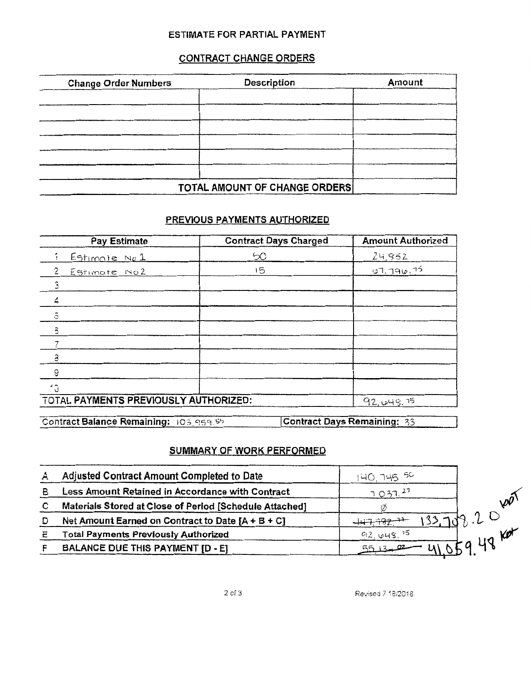### **ESTIMATE FOR PARTIAL PAYMENT**

## **CONTRACT CHANGE ORDERS**

| <b>Change Order Numbers</b> | Description                           | Amount |
|-----------------------------|---------------------------------------|--------|
|                             |                                       |        |
|                             |                                       |        |
|                             |                                       |        |
|                             |                                       |        |
|                             |                                       |        |
|                             |                                       |        |
|                             | <b>TOTAL AMOUNT OF CHANGE ORDERS!</b> |        |

### PREVIOUS PAYMENTS AUTHORIZED

| Pay Estimate                                         | <b>Contract Days Charged</b> | <b>Amount Authorized</b> |  |  |  |
|------------------------------------------------------|------------------------------|--------------------------|--|--|--|
| i Estimate No 1                                      | 50                           | 24,952                   |  |  |  |
| 2.<br>Estimate No2                                   | 15                           | $-1.79$ ער ה-1           |  |  |  |
|                                                      |                              |                          |  |  |  |
|                                                      |                              |                          |  |  |  |
| $\overline{5}$                                       |                              |                          |  |  |  |
| $\overline{5}$                                       |                              |                          |  |  |  |
|                                                      |                              |                          |  |  |  |
| З                                                    |                              |                          |  |  |  |
| 9                                                    |                              |                          |  |  |  |
|                                                      |                              |                          |  |  |  |
| TOTAL PAYMENTS PREVIOUSLY AUTHORIZED:<br>92, 649. 75 |                              |                          |  |  |  |

| _____ | Contract Balance Remaining: 103,959.55 | Con |
|-------|----------------------------------------|-----|
|       |                                        |     |

ntract Days Remaining: 33

## **SUMMARY OF WORK PERFORMED**

| А | Adjusted Contract Amount Completed to Date              | 140.745 <sup>50</sup> |        |
|---|---------------------------------------------------------|-----------------------|--------|
| в | Less Amount Retained in Accordance with Contract        | 7037.27               |        |
| C | Materials Stored at Close of Period [Schedule Attached] |                       | W      |
| Ð | Net Amount Earned on Contract to Date $[A + B + C]$     |                       | 19 I O |
|   | <b>Total Payments Previously Authorized</b>             | 42,648.15             |        |
|   | BALANCE DUE THIS PAYMENT [D - E]                        |                       |        |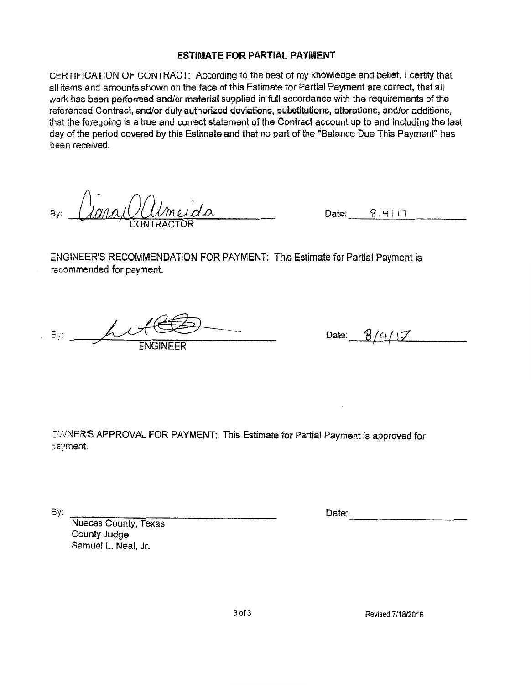### **ESTIMATE FOR PARTIAL PAYMENT**

CERTIFICATION OF CONTRACT: According to the best of my knowledge and belief, I certify that all items and amounts shown on the face of this Estimate for Partial Payment are correct, that all .vork has been performed and/or material supplied in full accordance with the requirements of the referenced Contract, and/or duly authorized deviations, substitutions, alterations, and/or additions, that the foregoing is a true and correct statement of the Contract account up to and including the last day of the period covered by this Estimate and that no part of the "Balance Due This Payment" has been received.

 $Date: 8 | 4 | 17$ 

ENGINEER'S RECOMMENDATION FOR PAYMENT: This Estimate for Partial Payment is recommended for payment. By:  $\frac{1}{2}$ <br>
CONTRACTOR<br>
ENGINEER'S RECOMMENDATION FOR PAYMENT: This Estimate for Partial Payment<br>
recommended for payment.<br> **ENGINEER**<br>
Date:  $\frac{8}{4}/4/17$ 

:':",/NER'S APPROVAL FOR PAYMENT: This Estimate for Partial Payment is approved for payment.

Date:

By: Weces County, Texas County Judge Samuel L. Neal, Jr.

3of3 Revised 7/18/2016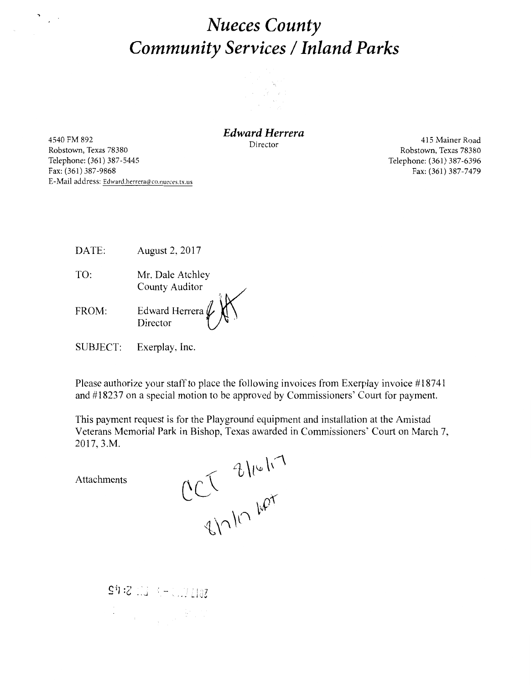## *Nueces County Community Services* **I** *Inland Parks*



4540 FM 892 Robstown, Texas 78380 Telephone: (361) 387-5445 Fax: (361) 387-9868 E-Mail address: Edward.herrera@co.nueces.tx.us

 $\sum_{i=1}^n \frac{1}{i}$ 

*Edward Herrera* 

Director

415 Mainer Road Robstown, Texas 78380 Telephone: (361) 387-6396 Fax: (361) 387-7479

DATE: August 2, 2017

TO: Mr. Dale Atchley FROM: County Auditor Edward Herrera

Director

SUBJECT: Exerplay, Inc.

Please authorize your staff to place the following invoices from Exerplay invoice #18741 and #18237 on a special motion to be approved by Commissioners' Court for payment.

This payment request is for the Playground equipment and installation at the Amistad Veterans Memorial Park in Bishop, Texas awarded in Commissioners' Court on March 7, 2017, 3.M.

Attachments

en 10 mars

1977年 - 1978年<br>1978年 - 1970年 - 1970年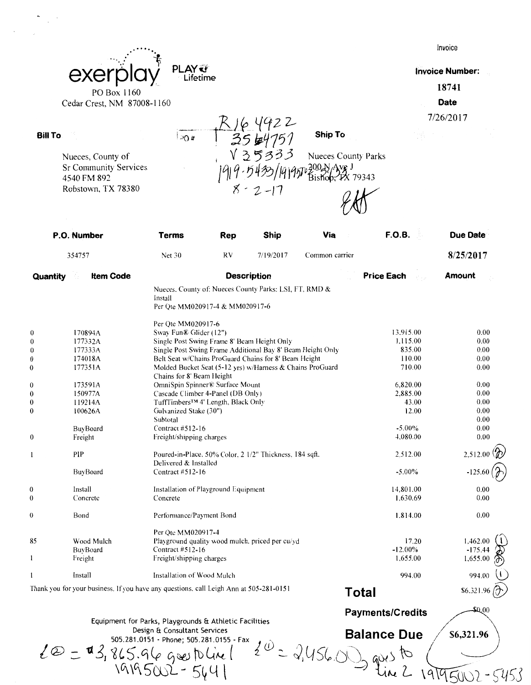|                              |                                                                                  |     |                       |                                           |                   | Invoice                |
|------------------------------|----------------------------------------------------------------------------------|-----|-----------------------|-------------------------------------------|-------------------|------------------------|
|                              | <b>PLAY</b>                                                                      |     |                       |                                           |                   | <b>Invoice Number:</b> |
| exer                         | Lifetime                                                                         |     |                       |                                           |                   |                        |
| PO Box 1160                  |                                                                                  |     |                       |                                           |                   | 18741                  |
| Cedar Crest, NM 87008-1160   |                                                                                  |     |                       |                                           |                   | <b>Date</b>            |
|                              |                                                                                  |     |                       |                                           |                   |                        |
|                              |                                                                                  |     |                       |                                           |                   | 7/26/2017              |
| <b>Bill To</b>               | !ാറ ⊭                                                                            |     | . J6 4922<br>35 b4751 | <b>Ship To</b>                            |                   |                        |
|                              |                                                                                  |     | ろうろう                  | <b>Nueces County Parks</b>                |                   |                        |
| Nueces, County of            |                                                                                  |     |                       |                                           |                   |                        |
| <b>Sr Community Services</b> |                                                                                  |     |                       | 1997 300 N Ave J<br>1997 Bishop, PX 79343 |                   |                        |
| 4540 FM 892                  |                                                                                  |     |                       |                                           |                   |                        |
| Robstown, TX 78380           |                                                                                  |     | $8 - 2 - 17$          |                                           |                   |                        |
| P.O. Number                  | <b>Terms</b>                                                                     | Rep | Ship                  | Via                                       | F.O.B.            | Due Date               |
| 354757                       | Net 30                                                                           | RV  | 7/19/2017             | Common carrier                            |                   | 8/25/2017              |
| <b>Item Code</b><br>Quantity |                                                                                  |     | <b>Description</b>    |                                           | <b>Price Each</b> | Amount                 |
|                              | Nueces, County of: Nueces County Parks: LSI, FT, RMD &                           |     |                       |                                           |                   |                        |
|                              | Install                                                                          |     |                       |                                           |                   |                        |
|                              | Per Qte MM020917-4 & MM020917-6                                                  |     |                       |                                           |                   |                        |
|                              | Per Qte MM020917-6                                                               |     |                       |                                           |                   |                        |
| 170894A                      | Sway Fun® Glider (12")                                                           |     |                       |                                           | 13,915.00         | 0.00                   |
| 177332A                      | Single Post Swing Frame 8' Beam Height Only                                      |     |                       |                                           | 1,115.00          | 0.00                   |
| 177333A                      | Single Post Swing Frame Additional Bay 8' Beam Height Only                       |     |                       |                                           | 835.00            | 0.00                   |
| 174018A                      | Belt Seat w/Chains ProGuard Chains for 8' Beam Height                            |     |                       |                                           | 110.00            | 0.00                   |
| 177351A                      | Molded Bucket Seat (5-12 yrs) w/Harness & Chains ProGuard                        |     |                       |                                           | 710.00            | 0.00                   |
|                              | Chains for 8' Beam Height                                                        |     |                       |                                           |                   |                        |
| 173591A                      | OmniSpin Spinner® Surface Mount                                                  |     |                       |                                           | 6.820.00          | 0.00                   |
| 150977A                      | Cascade Climber 4-Panel (DB Only)                                                |     |                       |                                           | 2,885.00          | 0.00                   |
| 119214A                      | TuffTimbers <sup>™</sup> 4' Length, Black Only                                   |     |                       |                                           | 43.00             | 0.00                   |
| 100626A                      | Galvanized Stake (30")                                                           |     |                       |                                           | 12.00             | 0.00                   |
|                              | Subtotal                                                                         |     |                       |                                           |                   | $0.00\,$               |
| BuyBoard                     | Contract #512-16                                                                 |     |                       |                                           | $-5.00\%$         | 0.00                   |
| Freight                      | Freight/shipping charges                                                         |     |                       |                                           | 4,080.00          | 0.00                   |
| PIP                          | Poured-in-Place, 50% Color, 2 1/2" Thickness, 184 sqft.<br>Delivered & Installed |     |                       |                                           | 2,512.00          | 2,512.00               |
| BuyBoard                     | Contract #512-16                                                                 |     |                       |                                           | $-5.00\%$         | $-125.60$              |
| Install                      | Installation of Playground Equipment                                             |     |                       |                                           | 14,801.00         | 0.00                   |
| Concrete                     | Concrete                                                                         |     |                       |                                           | 1,630.69          | 0.00                   |
|                              |                                                                                  |     |                       |                                           |                   |                        |
| Bond                         | Performance/Payment Bond                                                         |     |                       |                                           | 1.814.00          | 0.00                   |

0 Bond Performance/Payment Bond 1.814.00 **1.462.00 i** Per Qtc MM020917-4 85 Wood Mulch Playground quality wood mulch. priced per cu/yd 17.20 Contract #512-16 -175.44 BuyBoard -12.00% Freight Freight/shipping charges 1,655.00  $\mathbf{l}$ 1.655.00  $\mathbf{1}$ Install Installation of Wood Mulch 994.00 994.00 **Total**  \$6,321.96

Thank you for your business. If you have any questions. call Leigh Ann at 505-281-0151

Equipment for Parks, Playgrounds & Athletic Facilities

 $\ell \circledcirc = \mathbf{u} \cdot \mathcal{S}_1 \cdot 8 \cdot \mathcal{S}_2 \cdot 9 \cdot (\mathcal{S}_1 \cdot 9 \cdot 10^{151} \cdot \text{Phone}; 505.281.0155 \cdot \text{Fax}}$ Design & Consultant Services<br>505.281.0151 - Phone; 505.281.0155 - Fax

 $\overline{191950225441}$ 

**Balance Due** 

**Payments/Credits** 

\$6,321.96

 $\Omega$ <sub>00</sub>

22-5453

1919501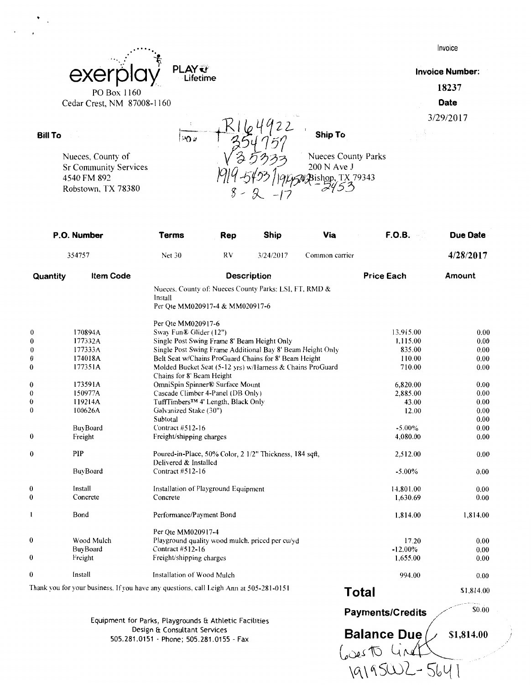|                                                                                        |             |                                                      | Invoice                         |
|----------------------------------------------------------------------------------------|-------------|------------------------------------------------------|---------------------------------|
| exerpla<br>PO Box 1160                                                                 | <b>PLAY</b> |                                                      | <b>Invoice Number:</b><br>18237 |
| Cedar Crest, NM 87008-1160                                                             |             |                                                      | Date                            |
|                                                                                        |             |                                                      | 3/29/2017                       |
|                                                                                        | <b>PO</b> # | <b>Ship To</b>                                       |                                 |
| Nueces, County of<br><b>Sr Community Services</b><br>4540 FM 892<br>Robstown, TX 78380 |             | <b>Nueces County Parks</b><br>200 N Ave J<br>X 79343 |                                 |

|                  | P.O. Number                                                                            | <b>Terms</b>                                | Rep                                            | Ship                                                       | Via            | <b>F.O.B.</b>     | <b>Due Date</b> |
|------------------|----------------------------------------------------------------------------------------|---------------------------------------------|------------------------------------------------|------------------------------------------------------------|----------------|-------------------|-----------------|
|                  | 354757                                                                                 | Net 30                                      | RV                                             | 3/24/2017                                                  | Common carrier |                   | 4/28/2017       |
| Quantity         | <b>Item Code</b>                                                                       |                                             |                                                | <b>Description</b>                                         |                | <b>Price Each</b> | Amount          |
|                  |                                                                                        | Install<br>Per Qte MM020917-4 & MM020917-6  |                                                | Nueces. County of: Nueces County Parks: LSI, FT, RMD &     |                |                   |                 |
|                  |                                                                                        | Per Ote MM020917-6                          |                                                |                                                            |                |                   |                 |
| $\theta$         | 170894A                                                                                | Sway Fun® Glider (12")                      |                                                |                                                            |                | 13.915.00         | 0.00            |
| $\boldsymbol{0}$ | 177332A                                                                                | Single Post Swing Frame 8' Beam Height Only |                                                |                                                            |                | 1,115.00          | 0.00            |
| $\boldsymbol{0}$ | 177333A                                                                                |                                             |                                                | Single Post Swing Frame Additional Bay 8' Beam Height Only |                | 835.00            | 0.00            |
| $\bf{0}$         | 174018A                                                                                |                                             |                                                | Belt Seat w/Chains ProGuard Chains for 8' Beam Height      |                | 110.00            | 0.00            |
| $\boldsymbol{0}$ | 177351A                                                                                | Chains for 8' Beam Height                   |                                                | Molded Bucket Seat (5-12 yrs) w/Harness & Chains ProGuard  |                | 710.00            | 0.00            |
| $\bf{0}$         | 173591A                                                                                | OmniSpin Spinner® Surface Mount             |                                                |                                                            |                | 6,820.00          | 0.00            |
| $\theta$         | 150977A                                                                                | Cascade Climber 4-Panel (DB Only)           |                                                |                                                            |                | 2,885.00          | 0.00            |
| $\boldsymbol{0}$ | 119214A                                                                                |                                             | TuffTimbers <sup>™</sup> 4' Length, Black Only |                                                            |                |                   | $0.00\,$        |
| $\theta$         | 100626A                                                                                | Galvanized Stake (30")                      |                                                |                                                            |                | 12.00             | 0.00            |
|                  |                                                                                        | Subtotal                                    |                                                |                                                            |                |                   | 0.00            |
|                  | BuyBoard                                                                               | Contract #512-16                            |                                                |                                                            |                | $-5.00\%$         | 0.00            |
| $\boldsymbol{0}$ | Freight                                                                                | Freight/shipping charges                    |                                                |                                                            |                | 4,080.00          | 0.00            |
| $\bf{0}$         | PIP                                                                                    | Delivered & Installed                       |                                                | Poured-in-Place, 50% Color, 2 1/2" Thickness, 184 sqft,    |                | 2,512.00          | 0.00            |
|                  | BuyBoard                                                                               | Contract #512-16                            |                                                |                                                            |                | $-5.00\%$         | 0.00            |
| $\boldsymbol{0}$ | Install                                                                                | Installation of Playground Equipment        |                                                |                                                            |                | 14,801.00         | 0.00            |
| $\bf{0}$         | Concrete                                                                               | Concrete                                    |                                                |                                                            |                | 1,630.69          | 0.00            |
| l                | Bond                                                                                   | Performance/Payment Bond                    |                                                |                                                            |                | 1,814.00          | 1,814.00        |
|                  |                                                                                        | Per Ote MM020917-4                          |                                                |                                                            |                |                   |                 |
| $\bf{0}$         | Wood Mulch                                                                             |                                             |                                                | Playground quality wood mulch, priced per cu/yd            |                | 17.20             | 0.00            |
|                  | BuyBoard                                                                               | Contract #512-16                            |                                                |                                                            |                | $-12.00\%$        | 0.00            |
| $\bf{0}$         | Freight                                                                                | Freight/shipping charges                    |                                                |                                                            |                | 1.655.00          | 0.00            |
| $\boldsymbol{0}$ | Install                                                                                | Installation of Wood Mulch                  |                                                |                                                            |                | 994.00            | 0.00            |
|                  | Thank you for your business. If you have any questions, call Leigh Ann at 505-281-0151 |                                             |                                                |                                                            |                | Total             | \$1,814.00      |

Equipment for Parks, Playgrounds ft Athletic Facilities Design ft Consultant Services 505.281.0151 - Phone; 505.281.0155 - Fax

**Bill To** 

**Balance Due** *Lettus* 1,814.00  $60e$  To  $4$ 

\G\\~5WL-5~l{1

/

Payments/Credits **// \$0.00**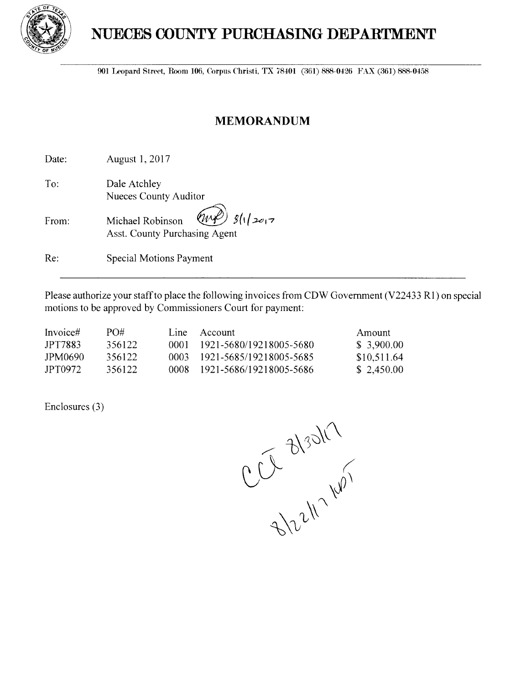

## **NUECES COUNTY PURCHASING DEPARTMENT**

901 Leopard Street, Room 106, Corpus Christi, TX 78401 (361) 888-0426 FAX (361) 888-0458

## **MEMORANDUM**

Date: August 1, 2017

To: Dale Atchley Nueces County Auditor

| From: | Michael Robinson $\left(\mathcal{W}\right)$ $g(y z_{0 7})$ |  |
|-------|------------------------------------------------------------|--|
|       | Asst. County Purchasing Agent                              |  |

Re: Special Motions Payment

Please authorize your staff to place the following invoices from CDW Government (V22433 RI) on special motions to be approved by Commissioners Court for payment:

| Invoice#       | PO#    | Line Account                 | Amount      |
|----------------|--------|------------------------------|-------------|
| <b>IPT7883</b> | 356122 | 0001 1921-5680/19218005-5680 | \$3,900,00  |
| JPM0690        | 356122 | 0003 1921-5685/19218005-5685 | \$10,511.64 |
| JPT0972        | 356122 | 0008 1921-5686/19218005-5686 | \$2,450.00  |

Enclosures (3)

CCL 3/30/17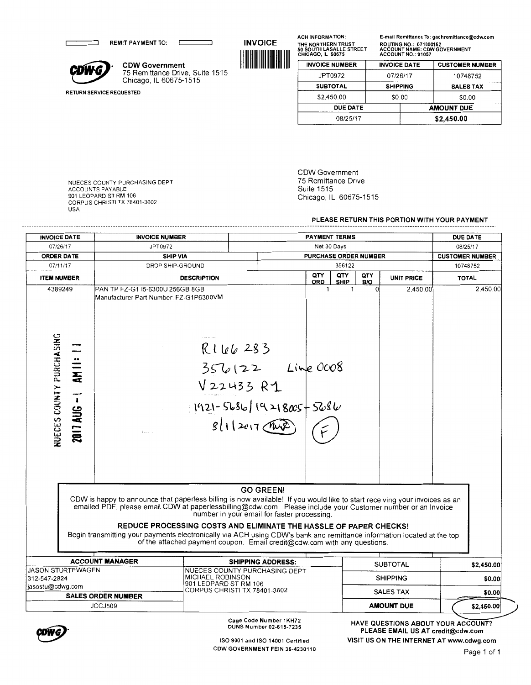REMIT PAYMENT TO:

**CDW G CDW Government**<br>
75 Remittance Drive, Suite 1515 Chicago, IL 60675-1515

 $\Gamma$ 

**INVOICE**  1111111111111111111111111111111 ACH INFORMATION: THE NORTHERN TRUST 50 SOUTH LASALLE STREET CHICAGO, IL 60675 E-mail Remittance To: gachremittance@cdw.com ROUTING NO.: 071000152 ACCOUNT NAME: CDW GOVERNMENT ACCOUNT NO.: 91057

| <b>INVOICE NUMBER</b> | <b>INVOICE DATE</b> | <b>CUSTOMER NUMBER</b> |  |
|-----------------------|---------------------|------------------------|--|
| JPT0972               | 07/26/17            | 10748752               |  |
| <b>SUBTOTAL</b>       | <b>SHIPPING</b>     | <b>SALES TAX</b>       |  |
| \$2,450.00            | \$0.00              | \$0.00                 |  |
| <b>DUE DATE</b>       |                     | <b>AMOUNT DUE</b>      |  |
| 08/25/17              | \$2,450.00          |                        |  |
|                       |                     |                        |  |

NUECES COUNTY PURCHASING DEPT ACCOUNTS PAYABLE 901 LEOPARD ST **RM** 106 CORPUS CHRISTI TX 78401-3602 USA

RETURN SERVICE REQUESTED

CDW Government 75 Remittance Drive Suite 1515 Chicago, IL 60675-1515

**PLEASE RETURN THIS PORTION WITH YOUR PAYMENT** 

| <b>INVOICE DATE</b>                                                            | <b>INVOICE NUMBER</b>                                                                                                                                                                                                                                                                                                                                                |                                                                                                                                                                                              |                          |              | <b>PAYMENT TERMS</b>         |            |                   | <b>DUE DATE</b>        |            |
|--------------------------------------------------------------------------------|----------------------------------------------------------------------------------------------------------------------------------------------------------------------------------------------------------------------------------------------------------------------------------------------------------------------------------------------------------------------|----------------------------------------------------------------------------------------------------------------------------------------------------------------------------------------------|--------------------------|--------------|------------------------------|------------|-------------------|------------------------|------------|
| 07/26/17                                                                       | JPT0972                                                                                                                                                                                                                                                                                                                                                              |                                                                                                                                                                                              |                          | Net 30 Days  |                              |            |                   | 08/25/17               |            |
| <b>ORDER DATE</b>                                                              | <b>SHIP VIA</b>                                                                                                                                                                                                                                                                                                                                                      |                                                                                                                                                                                              |                          |              | <b>PURCHASE ORDER NUMBER</b> |            |                   | <b>CUSTOMER NUMBER</b> |            |
| 07/11/17                                                                       | DROP SHIP-GROUND                                                                                                                                                                                                                                                                                                                                                     |                                                                                                                                                                                              |                          |              | 356122                       |            |                   | 10748752               |            |
| <b>ITEM NUMBER</b>                                                             |                                                                                                                                                                                                                                                                                                                                                                      | <b>DESCRIPTION</b>                                                                                                                                                                           |                          | QTY<br>ORD   | QTY<br><b>SHIP</b>           | QTY<br>B/O | <b>UNIT PRICE</b> | <b>TOTAL</b>           |            |
| 4389249<br><b>NUECES COUNTY PURCHASING</b><br>$\frac{1}{2}$<br>$2011$ AUG $-1$ | PAN TP FZ-G1 I5-6300U 256GB 8GB<br>Manufacturer Part Number: FZ-G1P6300VM<br>i                                                                                                                                                                                                                                                                                       | R166283<br>$356/122$ Line 0008<br>V22433 R1<br>$1921 - 5686$ $(9218005 + 5686)$<br>sl(12017)                                                                                                 |                          | $\mathbf{1}$ | $\mathbf{1}$                 | Ωl         | 2,450.00          |                        | 2.450.00   |
|                                                                                | CDW is happy to announce that paperless billing is now available! If you would like to start receiving your invoices as an<br>emailed PDF, please email CDW at paperlessbilling@cdw.com. Please include your Customer number or an Invoice<br>Begin transmitting your payments electronically via ACH using CDW's bank and remittance information located at the top | number in your email for faster processing.<br>REDUCE PROCESSING COSTS AND ELIMINATE THE HASSLE OF PAPER CHECKS!<br>of the attached payment coupon. Email credit@cdw.com with any questions. | <b>GO GREEN!</b>         |              |                              |            |                   |                        |            |
|                                                                                | <b>ACCOUNT MANAGER</b>                                                                                                                                                                                                                                                                                                                                               |                                                                                                                                                                                              | <b>SHIPPING ADDRESS:</b> |              |                              |            | <b>SUBTOTAL</b>   |                        | \$2,450.00 |
| <b>JASON STURTEWAGEN</b><br>312-547-2824                                       |                                                                                                                                                                                                                                                                                                                                                                      | NUECES COUNTY PURCHASING DEPT<br><b>MICHAEL ROBINSON</b>                                                                                                                                     |                          |              |                              |            | <b>SHIPPING</b>   |                        | \$0.00     |
| jasostu@cdwg.com                                                               |                                                                                                                                                                                                                                                                                                                                                                      | 901 LEOPARD ST RM 106<br>CORPUS CHRISTI TX 78401-3602                                                                                                                                        |                          |              |                              |            |                   |                        |            |
|                                                                                | <b>SALES ORDER NUMBER</b>                                                                                                                                                                                                                                                                                                                                            |                                                                                                                                                                                              |                          |              |                              |            | <b>SALES TAX</b>  |                        | \$0.00     |
|                                                                                | JCCJ509                                                                                                                                                                                                                                                                                                                                                              |                                                                                                                                                                                              |                          |              |                              |            | <b>AMOUNT DUE</b> |                        | \$2,450.00 |



Cage Code Number 1KH72 DUNS Number 02-615-7235

ISO 9001 and ISO 14001 Certified COW GOVERNMENT FEIN 36-4230110

HAVE QUESTIONS ABOUT YOUR ACCOUNT? PLEASE EMAIL US AT credit@cdw.com VISIT US ON THE INTERNET AT www.cdwg.com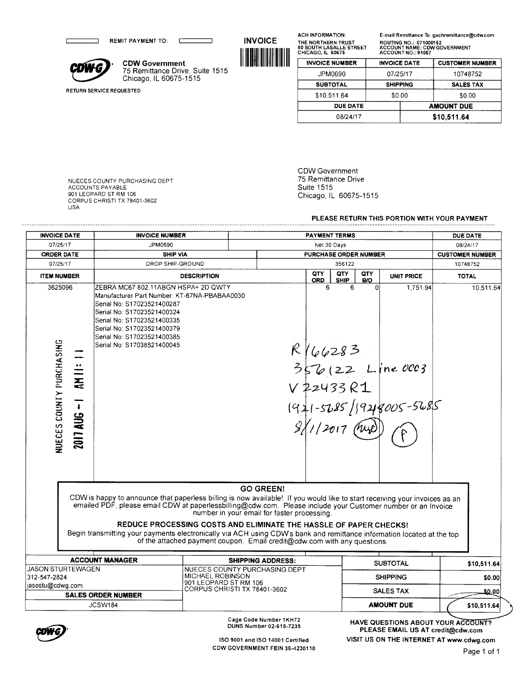REMIT PAYMENT TO: REMIT PAYMENT TO:<br>
CDWG Government<br>
<sup>75</sup> Remittance Drive<br>
Chicago, IL 60675-1

RETURN SERVICE REQUESTED

г

----------------

75 Remittance Drive, Suite 1515 Chicago, IL 60675-1515

٦

**INVOICE** 1111111111111111111111111111111 ACH INFORMATION: THE NORTHERN TRUST 50 SOUTH LASALLE STREET CHICAGO, IL 60675 E-mail Remittance To: gachremittance@cdw.com ROUTING NO.: 071000152 ACCOUNT NAME: CDW GOVERNMENT ACCOUNT NO.: 91057

| <b>INVOICE NUMBER</b> | <b>INVOICE DATE</b> | <b>CUSTOMER NUMBER</b> |
|-----------------------|---------------------|------------------------|
| JPM0690               | 07/25/17            | 10748752               |
| <b>SUBTOTAL</b>       | <b>SHIPPING</b>     | <b>SALES TAX</b>       |
| \$10.511.64           | \$0.00              | \$0.00                 |
| <b>DUE DATE</b>       |                     | <b>AMOUNT DUE</b>      |
| 08/24/17              | \$10,511.64         |                        |
|                       |                     |                        |

NUECES COUNTY PURCHASING DEPT ACCOUNTS PAYABLE 901 LEOPARD ST RM 106 CORPUS CHRISTI TX 78401-3602 USA

CDW Government 75 Remittance Drive Suite 1515 Chicago, IL 60675-1515

**PLEASE RETURN THIS PORTION WITH YOUR PAYMENT** 

| <b>INVOICE DATE</b>                      |                                    | <b>INVOICE NUMBER</b>                                                                                                                                                                                                                                                                                                                                                |                                                                                                                                                                                              | <b>PAYMENT TERMS</b>     |                              |                    | <b>DUE DATE</b>   |                                                                                                         |              |
|------------------------------------------|------------------------------------|----------------------------------------------------------------------------------------------------------------------------------------------------------------------------------------------------------------------------------------------------------------------------------------------------------------------------------------------------------------------|----------------------------------------------------------------------------------------------------------------------------------------------------------------------------------------------|--------------------------|------------------------------|--------------------|-------------------|---------------------------------------------------------------------------------------------------------|--------------|
| 07/25/17                                 |                                    | JPM0690                                                                                                                                                                                                                                                                                                                                                              |                                                                                                                                                                                              | Net 30 Days              |                              |                    |                   | 08/24/17                                                                                                |              |
| <b>ORDER DATE</b>                        |                                    | <b>SHIP VIA</b>                                                                                                                                                                                                                                                                                                                                                      |                                                                                                                                                                                              |                          | <b>PURCHASE ORDER NUMBER</b> |                    |                   |                                                                                                         |              |
| 07/25/17                                 |                                    | DROP SHIP-GROUND                                                                                                                                                                                                                                                                                                                                                     |                                                                                                                                                                                              |                          |                              | 356122             |                   |                                                                                                         | 10748752     |
| <b>ITEM NUMBER</b>                       |                                    |                                                                                                                                                                                                                                                                                                                                                                      | <b>DESCRIPTION</b>                                                                                                                                                                           |                          | QTY<br><b>ORD</b>            | QTY<br><b>SHIP</b> | QTY<br><b>B/O</b> | <b>UNIT PRICE</b>                                                                                       | <b>TOTAL</b> |
| 3625096<br>NUECES COUNTY PURCHASING      | AM II:<br>$\mathbf{I}$<br>2017 AUG | ZEBRA MC67 802.11ABGN HSPA+ 2D QWTY<br>Manufacturer Part Number: KT-67NA-PBABAA0030<br>Serial No: S17023521400287<br>Serial No: S17023521400324<br>Serial No: S17023521400335<br>Serial No: S17023521400379<br>Serial No: S17023521400385<br>Serial No: S17038521400045                                                                                              |                                                                                                                                                                                              |                          | 6                            | 6                  | n.                | 1.751.94<br>$R/66283$<br>356122 Line 0003<br>V 22433 R1<br>1911-5285/19218005-5285<br>8/1/2017 (MyD) PD | 10,511.64    |
|                                          |                                    | CDW is happy to announce that paperless billing is now available! If you would like to start receiving your invoices as an<br>emailed PDF, please email CDW at paperlessbilling@cdw.com. Please include your Customer number or an Invoice<br>Begin transmitting your payments electronically via ACH using CDW's bank and remittance information located at the top | number in your email for faster processing.<br>REDUCE PROCESSING COSTS AND ELIMINATE THE HASSLE OF PAPER CHECKS!<br>of the attached payment coupon. Email credit@cdw.com with any questions. | <b>GO GREEN!</b>         |                              |                    |                   |                                                                                                         |              |
|                                          |                                    | <b>ACCOUNT MANAGER</b>                                                                                                                                                                                                                                                                                                                                               |                                                                                                                                                                                              | <b>SHIPPING ADDRESS:</b> |                              |                    |                   | <b>SUBTOTAL</b>                                                                                         | \$10,511.64  |
| <b>JASON STURTEWAGEN</b><br>312-547-2824 |                                    |                                                                                                                                                                                                                                                                                                                                                                      | NUECES COUNTY PURCHASING DEPT<br>MICHAEL ROBINSON                                                                                                                                            |                          |                              |                    |                   | <b>SHIPPING</b>                                                                                         | \$0.00       |
| jasostu@cdwg.com                         |                                    |                                                                                                                                                                                                                                                                                                                                                                      | 901 LEOPARD ST RM 106<br>CORPUS CHRISTI TX 78401-3602                                                                                                                                        |                          |                              |                    |                   |                                                                                                         |              |
|                                          |                                    | <b>SALES ORDER NUMBER</b>                                                                                                                                                                                                                                                                                                                                            |                                                                                                                                                                                              |                          |                              |                    |                   | <b>SALES TAX</b>                                                                                        | \$0.00       |
|                                          |                                    | JCSW184                                                                                                                                                                                                                                                                                                                                                              |                                                                                                                                                                                              |                          |                              |                    |                   | <b>AMOUNT DUE</b>                                                                                       | \$10,511.64  |



Cage Code Number 1KH72 DUNS Number 02-615-7235

'-- **HAVE QUESTIONS ABOUT YOUR ACCOUNT? PLEASE EMAIL US AT credit@cdw.com VISIT US ON** THE **INTERNET AT www.cdwg.com**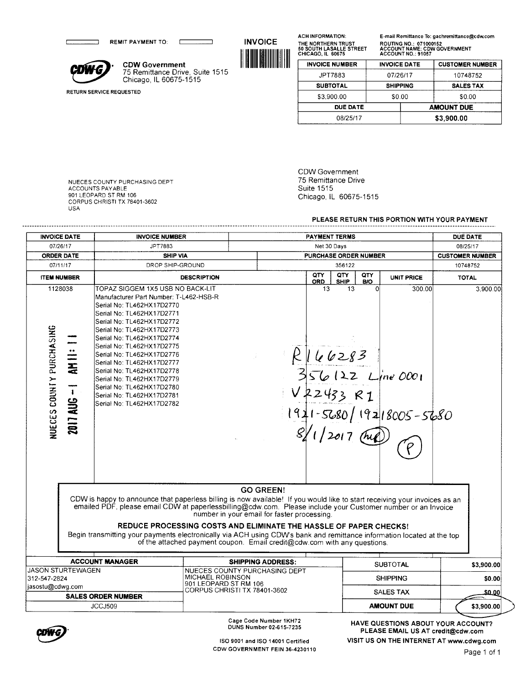REMIT PAYMENT TO:



RETURN SERVICE REQUESTED

**CDWG**<br>COWG<br>Chicago, IL 60675-1 75 Remittance Drive, Suite 1515 Chicago, IL 60675-1515

**INVOICE**  1111111111111111111111111111111 ACH INFORMATION: THE NORTHERN TRUST 50 SOUTH LASALLE STREET CHICAGO, IL 60675 E-mail Remittance To: gachremittance@cdw.com ROUTING NO.: 071000152 ACCOUNT NAME: CDW GOVERNMENT ACCOUNT NO.: 91057

| <b>INVOICE NUMBER</b> |                 | <b>CUSTOMER NUMBER</b><br><b>INVOICE DATE</b> |                  |  |
|-----------------------|-----------------|-----------------------------------------------|------------------|--|
| JPT7883               | 07/26/17        |                                               | 10748752         |  |
| <b>SUBTOTAL</b>       | <b>SHIPPING</b> |                                               | <b>SALES TAX</b> |  |
| \$3,900.00            | \$0.00          |                                               | \$0.00           |  |
| <b>DUE DATE</b>       |                 | <b>AMOUNT DUE</b>                             |                  |  |
| 08/25/17              |                 | \$3,900.00                                    |                  |  |

NUECES COUNTY PURCHASING DEPT ACCOUNTS PAYABLE 901 LEOPARD ST RM 106 CORPUS CHRISTI TX 78401-3602 USA

CDW Government 75 Remittance Drive Suite 1515 Chicago, IL 60675-1515

#### **PLEASE RETURN THIS PORTION WITH YOUR PAYMENT**

| <b>INVOICE DATE</b>                                                     | <b>INVOICE NUMBER</b>                                                                                                                                                                                                                                                                                                                                                                                                                                               |                                                                                                                                                                                                                                                                                                                                                                                                                                                                                                                                                                                          | <b>PAYMENT TERMS</b>                                                     |                            |                        |  |  |
|-------------------------------------------------------------------------|---------------------------------------------------------------------------------------------------------------------------------------------------------------------------------------------------------------------------------------------------------------------------------------------------------------------------------------------------------------------------------------------------------------------------------------------------------------------|------------------------------------------------------------------------------------------------------------------------------------------------------------------------------------------------------------------------------------------------------------------------------------------------------------------------------------------------------------------------------------------------------------------------------------------------------------------------------------------------------------------------------------------------------------------------------------------|--------------------------------------------------------------------------|----------------------------|------------------------|--|--|
| 07/26/17                                                                | JPT7883                                                                                                                                                                                                                                                                                                                                                                                                                                                             |                                                                                                                                                                                                                                                                                                                                                                                                                                                                                                                                                                                          | Net 30 Days                                                              |                            |                        |  |  |
| <b>ORDER DATE</b>                                                       | <b>SHIP VIA</b>                                                                                                                                                                                                                                                                                                                                                                                                                                                     |                                                                                                                                                                                                                                                                                                                                                                                                                                                                                                                                                                                          | PURCHASE ORDER NUMBER                                                    |                            | <b>CUSTOMER NUMBER</b> |  |  |
| 07/11/17                                                                | DROP SHIP-GROUND                                                                                                                                                                                                                                                                                                                                                                                                                                                    |                                                                                                                                                                                                                                                                                                                                                                                                                                                                                                                                                                                          | 356122                                                                   |                            | 10748752               |  |  |
| <b>ITEM NUMBER</b>                                                      |                                                                                                                                                                                                                                                                                                                                                                                                                                                                     | <b>DESCRIPTION</b>                                                                                                                                                                                                                                                                                                                                                                                                                                                                                                                                                                       | QTY<br>QTY<br>QTY<br><b>SHIP</b><br>B/O<br><b>ORD</b>                    | UNIT PRICE                 | <b>TOTAL</b>           |  |  |
| 1128038<br>NUECES COUNTY PURCHASING<br>AMII<br>$\mathbf{1}$<br>2017 AUG | TOPAZ SIGGEM 1X5 USB NO BACK-LIT<br>Manufacturer Part Number: T-L462-HSB-R<br>Serial No: TL462HX17D2770<br>Serial No: TL462HX17D2771<br>Serial No: TL462HX17D2772<br>Serial No: TL462HX17D2773<br>Serial No: TL462HX17D2774<br>Serial No: TL462HX17D2775<br>Serial No: TL462HX17D2776<br>Serial No: TL462HX17D2777<br>Serial No: TL462HX17D2778<br>Serial No: TL462HX17D2779<br>Serial No: TL462HX17D2780<br>Serial No: TL462HX17D2781<br>Serial No: TL462HX17D2782 |                                                                                                                                                                                                                                                                                                                                                                                                                                                                                                                                                                                          | 13<br>13<br>6283<br>2433 R I<br>1971-5680/19218005-5680<br>$1/2017$ (hig | Ωl<br>300.00<br>.ine 000 t | 3,900.00               |  |  |
|                                                                         |                                                                                                                                                                                                                                                                                                                                                                                                                                                                     | <b>GO GREEN!</b><br>CDW is happy to announce that paperless billing is now available! If you would like to start receiving your invoices as an<br>emailed PDF, please email CDW at paperlessbilling@cdw.com. Please include your Customer number or an Invoice<br>number in your email for faster processing.<br>REDUCE PROCESSING COSTS AND ELIMINATE THE HASSLE OF PAPER CHECKS!<br>Begin transmitting your payments electronically via ACH using CDW's bank and remittance information located at the top<br>of the attached payment coupon. Email credit@cdw.com with any questions. |                                                                          |                            |                        |  |  |
|                                                                         | <b>ACCOUNT MANAGER</b>                                                                                                                                                                                                                                                                                                                                                                                                                                              | <b>SHIPPING ADDRESS:</b>                                                                                                                                                                                                                                                                                                                                                                                                                                                                                                                                                                 |                                                                          | <b>SUBTOTAL</b>            | \$3,900.00             |  |  |
|                                                                         |                                                                                                                                                                                                                                                                                                                                                                                                                                                                     | NUECES COUNTY PURCHASING DEPT<br>MICHAEL ROBINSON                                                                                                                                                                                                                                                                                                                                                                                                                                                                                                                                        |                                                                          | <b>SHIPPING</b>            |                        |  |  |
| <b>JASON STURTEWAGEN</b><br>312-547-2824                                |                                                                                                                                                                                                                                                                                                                                                                                                                                                                     | 901 LEOPARD ST RM 106                                                                                                                                                                                                                                                                                                                                                                                                                                                                                                                                                                    |                                                                          |                            |                        |  |  |
| jasostu@cdwg.com                                                        | <b>SALES ORDER NUMBER</b>                                                                                                                                                                                                                                                                                                                                                                                                                                           | CORPUS CHRISTI TX 78401-3602                                                                                                                                                                                                                                                                                                                                                                                                                                                                                                                                                             |                                                                          | <b>SALES TAX</b>           | \$0.00<br>\$0.00       |  |  |



Cage Code Number 1 KH72 DUNS Number 02-615-7235

ISO 9001 and ISO 14001 Certified CDW GOVERNMENT FEIN 36-4230110

**HAVE QUESTIONS ABOUT YOUR ACCOUNT? PLEASE EMAIL US AT credit@cdw.com VISIT US ON** THE **INTERNET AT www.cdwg.com**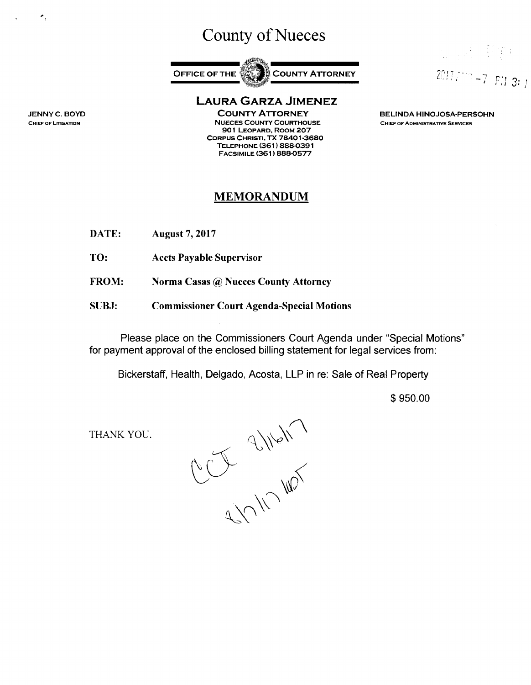## County of Nueces



**LAURA GARZA JIMENEZ** 

**COUNTY ATTORNEY NUECES COUNTY COURTHOUSE 901 LEOPARD, ROOM 207 CORPUS CHRISTI, TX 78401 ·3680 TELEPHONE (361** ) **888-0391 FACSIMILE (361) 888-0577** 

#### **BELINDA HINOJOSA-PERSOHN CHIEF OF ADMINISTRATlVE SERVICES**

 $2017$ *i*...,  $-7$  FM 3: j

**一个人** 

## **MEMORANDUM**

- **DATE: August** 7, **2017**
- **TO: Accts Payable Supervisor**
- **FROM: Norma Casas** @ **Nueces County Attorney**
- **SUBJ: Commissioner Court Agenda-Special Motions**

Please place on the Commissioners Court Agenda under "Special Motions" for payment approval of the enclosed billing statement for legal services from:

Bickerstaff, Health, Delgado, Acosta, LLP in re: Sale of Real Property

\$ 950.00

THANK YOU.

RUT SINON

**JENNY C. BOYD CHIEF OF LmGATION** 

 $\ddot{\phantom{1}}$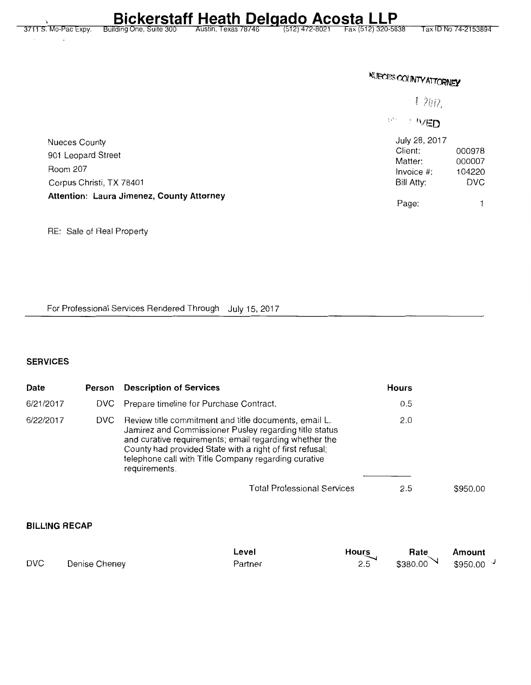Tax ID No 74-2153894

**NUECES COUNTY ATTORNEY** 

i 1,2017,

**INTED** 

| Nueces County                             | July 28, 2017 |            |  |  |
|-------------------------------------------|---------------|------------|--|--|
| 901 Leopard Street                        | Client:       | 000978     |  |  |
|                                           | Matter:       | 000007     |  |  |
| Room 207                                  | Invoice #:    | 104220     |  |  |
| Corpus Christi, TX 78401                  | Bill Atty:    | <b>DVC</b> |  |  |
| Attention: Laura Jimenez, County Attorney |               |            |  |  |
|                                           | Page:         |            |  |  |

RE: Sale of Real Property

For Professional Services Rendered Through July 15, 2017

### **SERVICES**

| Date      | Person | <b>Description of Services</b>                                                                                                                                                                                                                                                                                 | <b>Hours</b> |          |
|-----------|--------|----------------------------------------------------------------------------------------------------------------------------------------------------------------------------------------------------------------------------------------------------------------------------------------------------------------|--------------|----------|
| 6/21/2017 |        | DVC Prepare timeline for Purchase Contract.                                                                                                                                                                                                                                                                    | 0.5          |          |
| 6/22/2017 | DVC.   | Review title commitment and title documents, email L.<br>Jamirez and Commissioner Pusley regarding title status<br>and curative requirements; email regarding whether the<br>County had provided State with a right of first refusal;<br>telephone call with Title Company regarding curative<br>requirements. | 2.0          |          |
|           |        | <b>Total Professional Services</b>                                                                                                                                                                                                                                                                             | 2.5          | \$950.00 |

### **BILLING RECAP**

|            |               | Level   | Hours | Rate                 | Amount              |
|------------|---------------|---------|-------|----------------------|---------------------|
| <b>DVC</b> | Denise Cheney | Partner | 2.5   | $$380.00$ $\sqrt{ }$ | $$950.00^{\degree}$ |